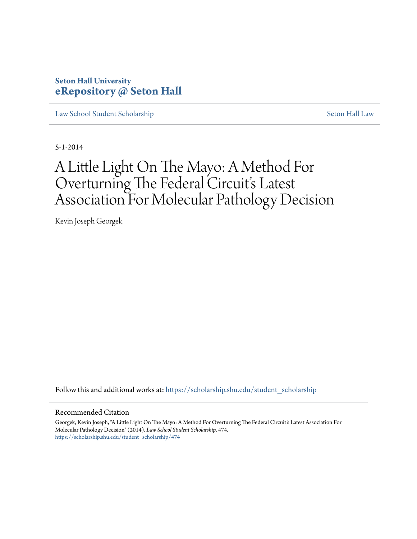## **Seton Hall University [eRepository @ Seton Hall](https://scholarship.shu.edu?utm_source=scholarship.shu.edu%2Fstudent_scholarship%2F474&utm_medium=PDF&utm_campaign=PDFCoverPages)**

[Law School Student Scholarship](https://scholarship.shu.edu/student_scholarship?utm_source=scholarship.shu.edu%2Fstudent_scholarship%2F474&utm_medium=PDF&utm_campaign=PDFCoverPages) [Seton Hall Law](https://scholarship.shu.edu/law?utm_source=scholarship.shu.edu%2Fstudent_scholarship%2F474&utm_medium=PDF&utm_campaign=PDFCoverPages)

5-1-2014

# A Little Light On The Mayo: A Method For Overturning The Federal Circuit's Latest Association For Molecular Pathology Decision

Kevin Joseph Georgek

Follow this and additional works at: [https://scholarship.shu.edu/student\\_scholarship](https://scholarship.shu.edu/student_scholarship?utm_source=scholarship.shu.edu%2Fstudent_scholarship%2F474&utm_medium=PDF&utm_campaign=PDFCoverPages)

## Recommended Citation

Georgek, Kevin Joseph, "A Little Light On The Mayo: A Method For Overturning The Federal Circuit's Latest Association For Molecular Pathology Decision" (2014). *Law School Student Scholarship*. 474. [https://scholarship.shu.edu/student\\_scholarship/474](https://scholarship.shu.edu/student_scholarship/474?utm_source=scholarship.shu.edu%2Fstudent_scholarship%2F474&utm_medium=PDF&utm_campaign=PDFCoverPages)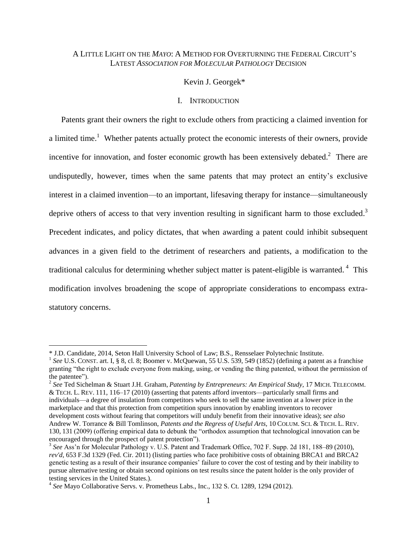## A LITTLE LIGHT ON THE *MAYO*: A METHOD FOR OVERTURNING THE FEDERAL CIRCUIT'S LATEST *ASSOCIATION FOR MOLECULAR PATHOLOGY* DECISION

## Kevin J. Georgek\*

## I. INTRODUCTION

Patents grant their owners the right to exclude others from practicing a claimed invention for a limited time.<sup>1</sup> Whether patents actually protect the economic interests of their owners, provide incentive for innovation, and foster economic growth has been extensively debated.<sup>2</sup> There are undisputedly, however, times when the same patents that may protect an entity's exclusive interest in a claimed invention—to an important, lifesaving therapy for instance—simultaneously deprive others of access to that very invention resulting in significant harm to those excluded.<sup>3</sup> Precedent indicates, and policy dictates, that when awarding a patent could inhibit subsequent advances in a given field to the detriment of researchers and patients, a modification to the traditional calculus for determining whether subject matter is patent-eligible is warranted.<sup>4</sup> This modification involves broadening the scope of appropriate considerations to encompass extrastatutory concerns.

 $\overline{a}$ 

2 *See* Ted Sichelman & Stuart J.H. Graham, *Patenting by Entrepreneurs: An Empirical Study*, 17 MICH. TELECOMM. & TECH. L. REV. 111, 116–17 (2010) (asserting that patents afford inventors—particularly small firms and individuals—a degree of insulation from competitors who seek to sell the same invention at a lower price in the marketplace and that this protection from competition spurs innovation by enabling inventors to recover development costs without fearing that competitors will unduly benefit from their innovative ideas); s*ee also* Andrew W. Torrance & Bill Tomlinson, *Patents and the Regress of Useful Arts,* 10 COLUM. SCI. & TECH. L. REV. 130, 131 (2009) (offering empirical data to debunk the "orthodox assumption that technological innovation can be encouraged through the prospect of patent protection").

<sup>\*</sup> J.D. Candidate, 2014, Seton Hall University School of Law; B.S., Rensselaer Polytechnic Institute.

<sup>&</sup>lt;sup>1</sup> See U.S. CONST. art. I, § 8, cl. 8; Boomer v. McQuewan, 55 U.S. 539, 549 (1852) (defining a patent as a franchise granting "the right to exclude everyone from making, using, or vending the thing patented, without the permission of the patentee").

<sup>&</sup>lt;sup>3</sup> See Ass'n for Molecular Pathology v. U.S. Patent and Trademark Office, 702 F. Supp. 2d 181, 188–89 (2010), *rev'd*, 653 F.3d 1329 (Fed. Cir. 2011) (listing parties who face prohibitive costs of obtaining BRCA1 and BRCA2 genetic testing as a result of their insurance companies' failure to cover the cost of testing and by their inability to pursue alternative testing or obtain second opinions on test results since the patent holder is the only provider of testing services in the United States.).

<sup>4</sup> *See* Mayo Collaborative Servs. v. Prometheus Labs., Inc., 132 S. Ct. 1289, 1294 (2012).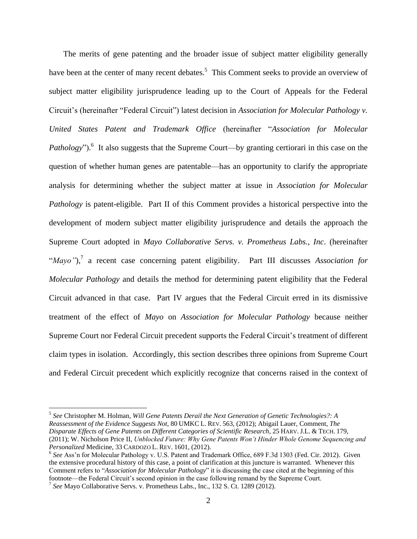The merits of gene patenting and the broader issue of subject matter eligibility generally have been at the center of many recent debates.<sup>5</sup> This Comment seeks to provide an overview of subject matter eligibility jurisprudence leading up to the Court of Appeals for the Federal Circuit's (hereinafter "Federal Circuit") latest decision in *Association for Molecular Pathology v. United States Patent and Trademark Office* (hereinafter "*Association for Molecular*  Pathology").<sup>6</sup> It also suggests that the Supreme Court—by granting certiorari in this case on the question of whether human genes are patentable—has an opportunity to clarify the appropriate analysis for determining whether the subject matter at issue in *Association for Molecular Pathology* is patent-eligible. Part II of this Comment provides a historical perspective into the development of modern subject matter eligibility jurisprudence and details the approach the Supreme Court adopted in *Mayo Collaborative Servs. v. Prometheus Labs., Inc*. (hereinafter "*Mayo"*), 7 a recent case concerning patent eligibility. Part III discusses *Association for Molecular Pathology* and details the method for determining patent eligibility that the Federal Circuit advanced in that case. Part IV argues that the Federal Circuit erred in its dismissive treatment of the effect of *Mayo* on *Association for Molecular Pathology* because neither Supreme Court nor Federal Circuit precedent supports the Federal Circuit's treatment of different claim types in isolation. Accordingly, this section describes three opinions from Supreme Court and Federal Circuit precedent which explicitly recognize that concerns raised in the context of

<sup>5</sup> *See* Christopher M. Holman, *Will Gene Patents Derail the Next Generation of Genetic Technologies?: A Reassessment of the Evidence Suggests Not*, 80 UMKC L. REV. 563, (2012); Abigail Lauer, Comment, *The Disparate Effects of Gene Patents on Different Categories of Scientific Research*, 25 HARV. J.L. & TECH. 179, (2011); W. Nicholson Price II, *Unblocked Future: Why Gene Patents Won't Hinder Whole Genome Sequencing and Personalized* Medicine, 33 CARDOZO L. REV. 1601, (2012).

<sup>&</sup>lt;sup>6</sup> See Ass'n for Molecular Pathology v. U.S. Patent and Trademark Office, 689 F.3d 1303 (Fed. Cir. 2012). Given the extensive procedural history of this case, a point of clarification at this juncture is warranted. Whenever this Comment refers to "*Association for Molecular Pathology*" it is discussing the case cited at the beginning of this footnote—the Federal Circuit's second opinion in the case following remand by the Supreme Court.

<sup>7</sup> *See* Mayo Collaborative Servs. v. Prometheus Labs., Inc., 132 S. Ct. 1289 (2012).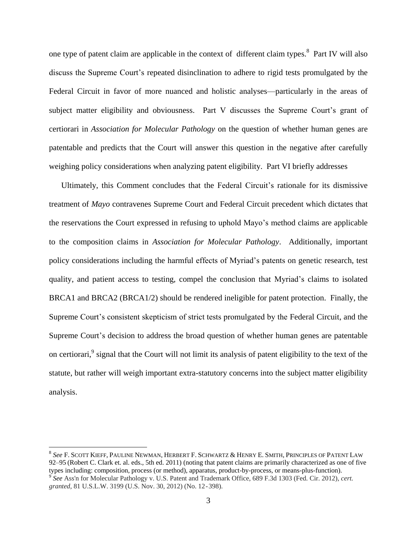one type of patent claim are applicable in the context of different claim types.<sup>8</sup> Part IV will also discuss the Supreme Court's repeated disinclination to adhere to rigid tests promulgated by the Federal Circuit in favor of more nuanced and holistic analyses—particularly in the areas of subject matter eligibility and obviousness. Part V discusses the Supreme Court's grant of certiorari in *Association for Molecular Pathology* on the question of whether human genes are patentable and predicts that the Court will answer this question in the negative after carefully weighing policy considerations when analyzing patent eligibility. Part VI briefly addresses

Ultimately, this Comment concludes that the Federal Circuit's rationale for its dismissive treatment of *Mayo* contravenes Supreme Court and Federal Circuit precedent which dictates that the reservations the Court expressed in refusing to uphold Mayo's method claims are applicable to the composition claims in *Association for Molecular Pathology*. Additionally, important policy considerations including the harmful effects of Myriad's patents on genetic research, test quality, and patient access to testing, compel the conclusion that Myriad's claims to isolated BRCA1 and BRCA2 (BRCA1/2) should be rendered ineligible for patent protection. Finally, the Supreme Court's consistent skepticism of strict tests promulgated by the Federal Circuit, and the Supreme Court's decision to address the broad question of whether human genes are patentable on certiorari,<sup>9</sup> signal that the Court will not limit its analysis of patent eligibility to the text of the statute, but rather will weigh important extra-statutory concerns into the subject matter eligibility analysis.

<sup>8</sup> *See* F. SCOTT KIEFF, PAULINE NEWMAN, HERBERT F. SCHWARTZ & HENRY E. SMITH, PRINCIPLES OF PATENT LAW 92–95 (Robert C. Clark et. al. eds., 5th ed. 2011) (noting that patent claims are primarily characterized as one of five types including: composition, process (or method), apparatus, product-by-process, or means-plus-function). 9 *See* Ass'n for Molecular Pathology v. U.S. Patent and Trademark Office, 689 F.3d 1303 (Fed. Cir. 2012), *cert. granted*, 81 U.S.L.W. 3199 (U.S. Nov. 30, 2012) (No. 12-398).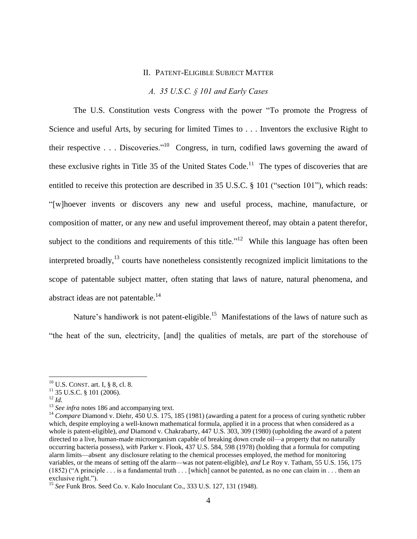## II. PATENT-ELIGIBLE SUBJECT MATTER

## *A. 35 U.S.C. § 101 and Early Cases*

The U.S. Constitution vests Congress with the power "To promote the Progress of Science and useful Arts, by securing for limited Times to . . . Inventors the exclusive Right to their respective . . . Discoveries."<sup>10</sup> Congress, in turn, codified laws governing the award of these exclusive rights in Title 35 of the United States Code.<sup>11</sup> The types of discoveries that are entitled to receive this protection are described in 35 U.S.C. § 101 ("section 101"), which reads: "[w]hoever invents or discovers any new and useful process, machine, manufacture, or composition of matter, or any new and useful improvement thereof, may obtain a patent therefor, subject to the conditions and requirements of this title."<sup>12</sup> While this language has often been interpreted broadly,<sup>13</sup> courts have nonetheless consistently recognized implicit limitations to the scope of patentable subject matter, often stating that laws of nature, natural phenomena, and abstract ideas are not patentable.<sup>14</sup>

Nature's handiwork is not patent-eligible.<sup>15</sup> Manifestations of the laws of nature such as "the heat of the sun, electricity, [and] the qualities of metals, are part of the storehouse of

 $10$  U.S. CONST. art. I, § 8, cl. 8.

 $11$  35 U.S.C. § 101 (2006).

<sup>12</sup> *Id.*

<sup>&</sup>lt;sup>13</sup> *See infra* notes [186](#page-31-0) and accompanying text.

<sup>&</sup>lt;sup>14</sup> *Compare Diamond v. Diehr, 450 U.S. 175, 185 (1981) (awarding a patent for a process of curing synthetic rubber* which, despite employing a well-known mathematical formula, applied it in a process that when considered as a whole is patent-eligible), *and* Diamond v. Chakrabarty, 447 U.S. 303, 309 (1980) (upholding the award of a patent directed to a live, human-made microorganism capable of breaking down crude oil—a property that no naturally occurring bacteria possess), *with* Parker v. Flook, 437 U.S. 584, 598 (1978) (holding that a formula for computing alarm limits—absent any disclosure relating to the chemical processes employed, the method for monitoring variables, or the means of setting off the alarm—was not patent-eligible), *and* Le Roy v. Tatham, 55 U.S. 156, 175 (1852) ("A principle  $\dots$  is a fundamental truth  $\dots$  [which] cannot be patented, as no one can claim in  $\dots$  them an exclusive right.").

<sup>15</sup> *See* Funk Bros. Seed Co. v. Kalo Inoculant Co., 333 U.S. 127, 131 (1948).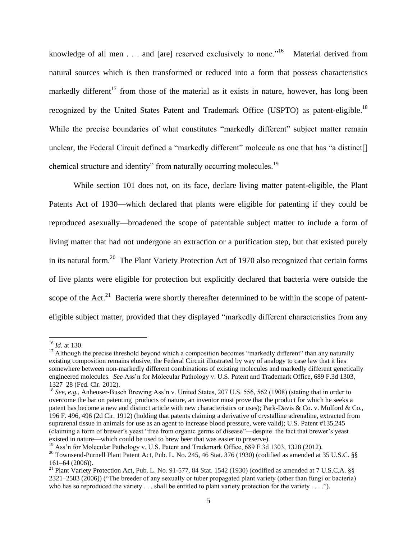<span id="page-5-0"></span>knowledge of all men . . . and [are] reserved exclusively to none."<sup>16</sup> Material derived from natural sources which is then transformed or reduced into a form that possess characteristics markedly different<sup>17</sup> from those of the material as it exists in nature, however, has long been recognized by the United States Patent and Trademark Office (USPTO) as patent-eligible.<sup>18</sup> While the precise boundaries of what constitutes "markedly different" subject matter remain unclear, the Federal Circuit defined a "markedly different" molecule as one that has "a distinct[] chemical structure and identity" from naturally occurring molecules.<sup>19</sup>

While section 101 does not, on its face, declare living matter patent-eligible, the Plant Patents Act of 1930—which declared that plants were eligible for patenting if they could be reproduced asexually—broadened the scope of patentable subject matter to include a form of living matter that had not undergone an extraction or a purification step, but that existed purely in its natural form.<sup>20</sup> The Plant Variety Protection Act of 1970 also recognized that certain forms of live plants were eligible for protection but explicitly declared that bacteria were outside the scope of the Act.<sup>21</sup> Bacteria were shortly thereafter determined to be within the scope of patenteligible subject matter, provided that they displayed "markedly different characteristics from any

<sup>16</sup> *Id*. at 130.

<sup>&</sup>lt;sup>17</sup> Although the precise threshold beyond which a composition becomes "markedly different" than any naturally existing composition remains elusive, the Federal Circuit illustrated by way of analogy to case law that it lies somewhere between non-markedly different combinations of existing molecules and markedly different genetically engineered molecules. *See* Ass'n for Molecular Pathology v. U.S. Patent and Trademark Office, 689 F.3d 1303, 1327–28 (Fed. Cir. 2012).

<sup>18</sup> *See, e.g.*, Anheuser-Busch Brewing Ass'n v. United States, 207 U.S. 556, 562 (1908) (stating that in order to overcome the bar on patenting products of nature, an inventor must prove that the product for which he seeks a patent has become a new and distinct article with new characteristics or uses); Park-Davis & Co. v. Mulford & Co., 196 F. 496, 496 (2d Cir. 1912) (holding that patents claiming a derivative of crystalline adrenaline, extracted from suprarenal tissue in animals for use as an agent to increase blood pressure, were valid); U.S. Patent #135,245 (claiming a form of brewer's yeast "free from organic germs of disease"—despite the fact that brewer's yeast existed in nature—which could be used to brew beer that was easier to preserve).

<sup>&</sup>lt;sup>19</sup> Ass'n for Molecular Pathology v. U.S. Patent and Trademark Office, 689 F.3d 1303, 1328 (2012).

<sup>&</sup>lt;sup>20</sup> Townsend-Purnell Plant Patent Act, Pub. L. No. 245, 46 Stat. 376 (1930) (codified as amended at 35 U.S.C. §§ 161–64 (2006)).

<sup>&</sup>lt;sup>21</sup> Plant Variety Protection Act, Pub. L. No. 91-577, 84 Stat. 1542 (1930) (codified as amended at 7 U.S.C.A. §§ 2321–2583 (2006)) ("The breeder of any sexually or tuber propagated plant variety (other than fungi or bacteria) who has so reproduced the variety . . . shall be entitled to plant variety protection for the variety . . . .").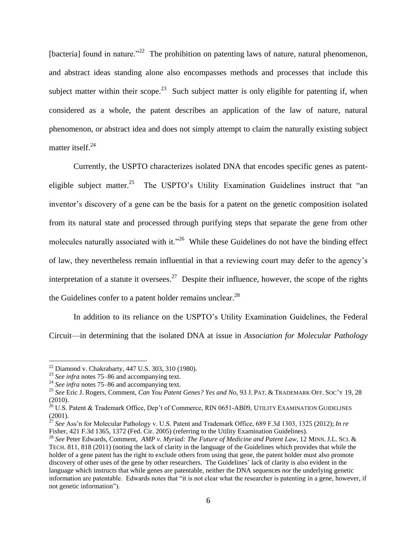<span id="page-6-0"></span>[bacteria] found in nature."<sup>22</sup> The prohibition on patenting laws of nature, natural phenomenon, and abstract ideas standing alone also encompasses methods and processes that include this subject matter within their scope.<sup>23</sup> Such subject matter is only eligible for patenting if, when considered as a whole, the patent describes an application of the law of nature, natural phenomenon, or abstract idea and does not simply attempt to claim the naturally existing subject matter itself.<sup>24</sup>

Currently, the USPTO characterizes isolated DNA that encodes specific genes as patenteligible subject matter.<sup>25</sup> The USPTO's Utility Examination Guidelines instruct that "an inventor's discovery of a gene can be the basis for a patent on the genetic composition isolated from its natural state and processed through purifying steps that separate the gene from other molecules naturally associated with it."<sup>26</sup> While these Guidelines do not have the binding effect of law, they nevertheless remain influential in that a reviewing court may defer to the agency's interpretation of a statute it oversees.<sup>27</sup> Despite their influence, however, the scope of the rights the Guidelines confer to a patent holder remains unclear. $^{28}$ 

In addition to its reliance on the USPTO's Utility Examination Guidelines, the Federal Circuit—in determining that the isolated DNA at issue in *Association for Molecular Pathology*

 $22$  Diamond v. Chakrabarty, 447 U.S. 303, 310 (1980).

<sup>23</sup> *See infra* notes [75–](#page-13-0)[86](#page-15-0) and accompanying text.

<sup>24</sup> *See infra* notes [75–](#page-13-0)[86](#page-15-0) and accompanying text.

<sup>25</sup> *See* Eric J. Rogers, Comment, *Can You Patent Genes? Yes and No*, 93 J. PAT. & TRADEMARK OFF. SOC'<sup>Y</sup> 19, 28 (2010).

 $^{26}$  U.S. Patent & Trademark Office, Dep't of Commerce, RIN 0651-AB09, UTILITY EXAMINATION GUIDELINES (2001).

<sup>27</sup> *See* Ass'n for Molecular Pathology v. U.S. Patent and Trademark Office, 689 F.3d 1303, 1325 (2012); *In re*  Fisher, 421 F.3d 1365, 1372 (Fed. Cir. 2005) (referring to the Utility Examination Guidelines).

<sup>28</sup> *See* Peter Edwards, Comment, *AMP v. Myriad: The Future of Medicine and Patent Law*, 12 MINN. J.L. SCI. & TECH. 811, 818 (2011) (noting the lack of clarity in the language of the Guidelines which provides that while the holder of a gene patent has the right to exclude others from using that gene, the patent holder must also promote discovery of other uses of the gene by other researchers. The Guidelines' lack of clarity is also evident in the language which instructs that while genes are patentable, neither the DNA sequences nor the underlying genetic information are patentable. Edwards notes that "it is not clear what the researcher is patenting in a gene, however, if not genetic information").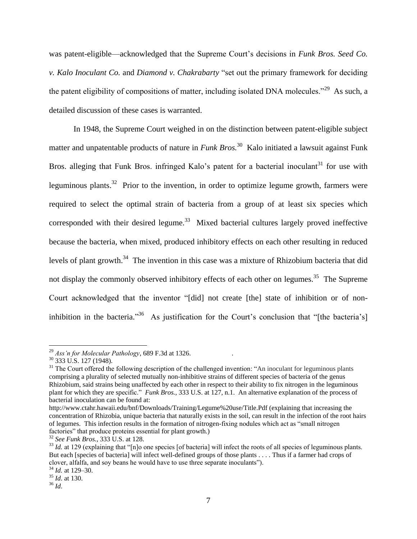was patent-eligible—acknowledged that the Supreme Court's decisions in *Funk Bros. Seed Co. v. Kalo Inoculant Co.* and *Diamond v. Chakrabarty* "set out the primary framework for deciding the patent eligibility of compositions of matter, including isolated DNA molecules."<sup>29</sup> As such, a detailed discussion of these cases is warranted.

In 1948, the Supreme Court weighed in on the distinction between patent-eligible subject matter and unpatentable products of nature in *Funk Bros.*<sup>30</sup> Kalo initiated a lawsuit against Funk Bros. alleging that Funk Bros. infringed Kalo's patent for a bacterial inoculant<sup>31</sup> for use with leguminous plants.<sup>32</sup> Prior to the invention, in order to optimize legume growth, farmers were required to select the optimal strain of bacteria from a group of at least six species which corresponded with their desired legume.<sup>33</sup> Mixed bacterial cultures largely proved ineffective because the bacteria, when mixed, produced inhibitory effects on each other resulting in reduced levels of plant growth.<sup>34</sup> The invention in this case was a mixture of Rhizobium bacteria that did not display the commonly observed inhibitory effects of each other on legumes.<sup>35</sup> The Supreme Court acknowledged that the inventor "[did] not create [the] state of inhibition or of noninhibition in the bacteria."<sup>36</sup> As justification for the Court's conclusion that "[the bacteria's]

<sup>29</sup> *Ass'n for Molecular Pathology*, 689 F.3d at 1326. .

 $30$  333 U.S. 127 (1948).

 $31$  The Court offered the following description of the challenged invention: "An inoculant for leguminous plants comprising a plurality of selected mutually non-inhibitive strains of different species of bacteria of the genus Rhizobium, said strains being unaffected by each other in respect to their ability to fix nitrogen in the leguminous plant for which they are specific." *Funk Bros.*, 333 U.S. at 127, n.1. An alternative explanation of the process of bacterial inoculation can be found at:

http://www.ctahr.hawaii.edu/bnf/Downloads/Training/Legume%20use/Title.Pdf (explaining that increasing the concentration of Rhizobia, unique bacteria that naturally exists in the soil, can result in the infection of the root hairs of legumes. This infection results in the formation of nitrogen-fixing nodules which act as "small nitrogen factories" that produce proteins essential for plant growth.)

<sup>32</sup> *See Funk Bros.*, 333 U.S. at 128.

<sup>&</sup>lt;sup>33</sup> *Id.* at 129 (explaining that "[n]o one species [of bacteria] will infect the roots of all species of leguminous plants. But each [species of bacteria] will infect well-defined groups of those plants . . . . Thus if a farmer had crops of clover, alfalfa, and soy beans he would have to use three separate inoculants").

<sup>34</sup> *Id.* at 129–30. <sup>35</sup> *Id*. at 130.

<sup>36</sup> *Id*.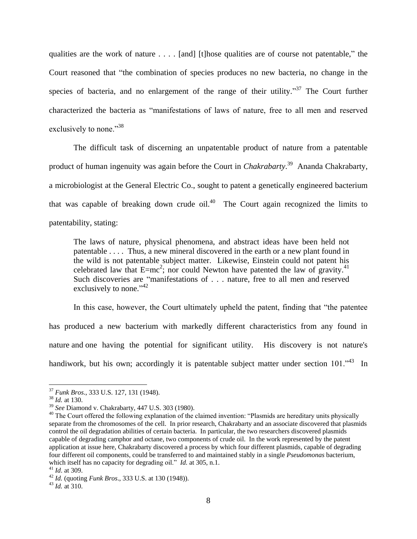qualities are the work of nature . . . . [and] [t]hose qualities are of course not patentable," the Court reasoned that "the combination of species produces no new bacteria, no change in the species of bacteria, and no enlargement of the range of their utility.<sup>37</sup> The Court further characterized the bacteria as "manifestations of laws of nature, free to all men and reserved exclusively to none."<sup>38</sup>

The difficult task of discerning an unpatentable product of nature from a patentable product of human ingenuity was again before the Court in *Chakrabarty*. 39 Ananda Chakrabarty, a microbiologist at the General Electric Co., sought to patent a genetically engineered bacterium that was capable of breaking down crude  $\delta$ il.<sup>40</sup> The Court again recognized the limits to patentability, stating:

The laws of nature, physical phenomena, and abstract ideas have been held not patentable . . . . Thus, a new mineral discovered in the earth or a new plant found in the wild is not patentable subject matter. Likewise, Einstein could not patent his celebrated law that  $E=mc^2$ ; nor could Newton have patented the law of gravity.<sup>41</sup> Such discoveries are "manifestations of . . . nature, free to all men and reserved exclusively to none."<sup>42</sup>

In this case, however, the Court ultimately upheld the patent, finding that "the patentee has produced a new bacterium with markedly different characteristics from any found in nature and one having the potential for significant utility. His discovery is not nature's handiwork, but his own; accordingly it is patentable subject matter under section 101.<sup>43</sup> In

<sup>37</sup> *Funk Bros*., 333 U.S. 127, 131 (1948).

<sup>38</sup> *Id.* at 130.

<sup>39</sup> *See* Diamond v. Chakrabarty, 447 U.S. 303 (1980).

<sup>&</sup>lt;sup>40</sup> The Court offered the following explanation of the claimed invention: "Plasmids are hereditary units physically separate from the chromosomes of the cell. In prior research, Chakrabarty and an associate discovered that plasmids control the oil degradation abilities of certain bacteria. In particular, the two researchers discovered plasmids capable of degrading camphor and octane, two components of crude oil. In the work represented by the patent application at issue here, Chakrabarty discovered a process by which four different plasmids, capable of degrading four different oil components, could be transferred to and maintained stably in a single *Pseudomonas* bacterium, which itself has no capacity for degrading oil." *Id.* at 305, n.1.

<sup>41</sup> *Id*. at 309.

<sup>42</sup> *Id.* (quoting *Funk Bros*., 333 U.S. at 130 (1948)).

<sup>43</sup> *Id.* at 310.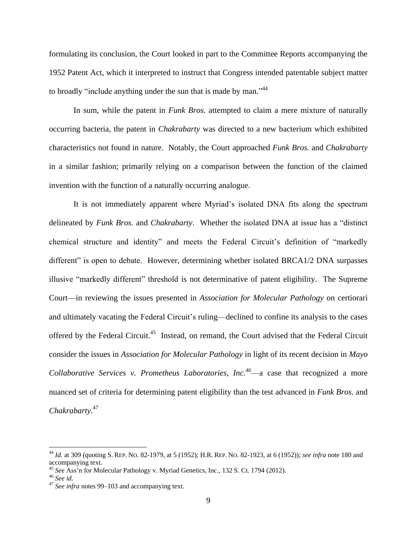formulating its conclusion, the Court looked in part to the Committee Reports accompanying the 1952 Patent Act, which it interpreted to instruct that Congress intended patentable subject matter to broadly "include anything under the sun that is made by man."<sup>44</sup>

In sum, while the patent in *Funk Bros.* attempted to claim a mere mixture of naturally occurring bacteria, the patent in *Chakrabarty* was directed to a new bacterium which exhibited characteristics not found in nature. Notably, the Court approached *Funk Bros.* and *Chakrabarty*  in a similar fashion; primarily relying on a comparison between the function of the claimed invention with the function of a naturally occurring analogue.

It is not immediately apparent where Myriad's isolated DNA fits along the spectrum delineated by *Funk Bros.* and *Chakrabarty*. Whether the isolated DNA at issue has a "distinct chemical structure and identity" and meets the Federal Circuit's definition of "markedly different" is open to debate. However, determining whether isolated BRCA1/2 DNA surpasses illusive "markedly different" threshold is not determinative of patent eligibility. The Supreme Court—in reviewing the issues presented in *Association for Molecular Pathology* on certiorari and ultimately vacating the Federal Circuit's ruling—declined to confine its analysis to the cases offered by the Federal Circuit.<sup>45</sup> Instead, on remand, the Court advised that the Federal Circuit consider the issues in *Association for Molecular Pathology* in light of its recent decision in *Mayo Collaborative Services v. Prometheus Laboratories, Inc.*<sup>46</sup>—a case that recognized a more nuanced set of criteria for determining patent eligibility than the test advanced in *Funk Bros.* and *Chakrabarty*. 47

<sup>44</sup> *Id.* at 309 (quoting S. REP. NO. 82-1979, at 5 (1952); H.R. REP. NO. 82-1923, at 6 (1952)); *see infra* note 180 and accompanying text.

<sup>45</sup> *See* Ass'n for Molecular Pathology v. Myriad Genetics, Inc., 132 S. Ct. 1794 (2012).

<sup>46</sup> *See id.* 

<sup>47</sup> *See infra* notes [99–](#page-16-0)[103](#page-17-0) and accompanying text.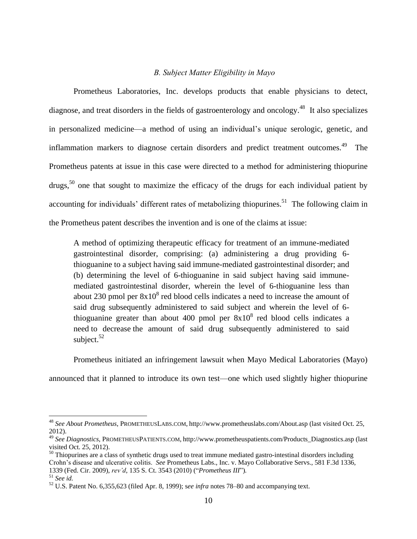## *B. Subject Matter Eligibility in Mayo*

Prometheus Laboratories, Inc. develops products that enable physicians to detect, diagnose, and treat disorders in the fields of gastroenterology and oncology.<sup>48</sup> It also specializes in personalized medicine—a method of using an individual's unique serologic, genetic, and inflammation markers to diagnose certain disorders and predict treatment outcomes.<sup>49</sup> The Prometheus patents at issue in this case were directed to a method for administering thiopurine drugs,<sup>50</sup> one that sought to maximize the efficacy of the drugs for each individual patient by accounting for individuals' different rates of metabolizing thiopurines.<sup>51</sup> The following claim in the Prometheus patent describes the invention and is one of the claims at issue:

A method of optimizing therapeutic efficacy for treatment of an immune-mediated gastrointestinal disorder, comprising: (a) administering a drug providing 6 thioguanine to a subject having said immune-mediated gastrointestinal disorder; and (b) determining the level of 6-thioguanine in said subject having said immunemediated gastrointestinal disorder, wherein the level of 6-thioguanine less than about 230 pmol per  $8x10<sup>8</sup>$  red blood cells indicates a need to increase the amount of said drug subsequently administered to said subject and wherein the level of 6 thioguanine greater than about 400 pmol per  $8x10<sup>8</sup>$  red blood cells indicates a need to decrease the amount of said drug subsequently administered to said subject. $52$ 

Prometheus initiated an infringement lawsuit when Mayo Medical Laboratories (Mayo)

announced that it planned to introduce its own test—one which used slightly higher thiopurine

<sup>48</sup> *See About Prometheus*, PROMETHEUSLABS.COM, http://www.prometheuslabs.com/About.asp (last visited Oct. 25, 2012).

<sup>49</sup> *See Diagnostics*, PROMETHEUSPATIENTS.COM, http://www.prometheuspatients.com/Products\_Diagnostics.asp (last visited Oct. 25, 2012).

 $50$  Thiopurines are a class of synthetic drugs used to treat immune mediated gastro-intestinal disorders including Crohn's disease and ulcerative colitis. *See* Prometheus Labs., Inc. v. Mayo Collaborative Servs., 581 F.3d 1336, 1339 (Fed. Cir. 2009), *rev'd*, 135 S. Ct. 3543 (2010) ("*Prometheus III*")*.*

<sup>51</sup> *See id.*

<sup>52</sup> U.S. Patent No. 6,355,623 (filed Apr. 8, 1999); s*ee infra* notes 78–80 and accompanying text.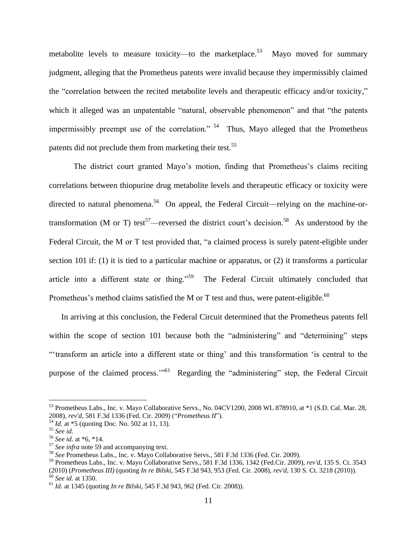metabolite levels to measure toxicity—to the marketplace.<sup>53</sup> Mayo moved for summary judgment, alleging that the Prometheus patents were invalid because they impermissibly claimed the "correlation between the recited metabolite levels and therapeutic efficacy and/or toxicity," which it alleged was an unpatentable "natural, observable phenomenon" and that "the patents impermissibly preempt use of the correlation."<sup>54</sup> Thus, Mayo alleged that the Prometheus patents did not preclude them from marketing their test.<sup>55</sup>

<span id="page-11-1"></span>The district court granted Mayo's motion, finding that Prometheus's claims reciting correlations between thiopurine drug metabolite levels and therapeutic efficacy or toxicity were directed to natural phenomena.<sup>56</sup> On appeal, the Federal Circuit—relying on the machine-ortransformation (M or T) test<sup>57</sup>—reversed the district court's decision.<sup>58</sup> As understood by the Federal Circuit, the M or T test provided that, "a claimed process is surely patent-eligible under section 101 if: (1) it is tied to a particular machine or apparatus, or (2) it transforms a particular article into a different state or thing."<sup>59</sup> The Federal Circuit ultimately concluded that Prometheus's method claims satisfied the M or T test and thus, were patent-eligible.<sup>60</sup>

<span id="page-11-0"></span>In arriving at this conclusion, the Federal Circuit determined that the Prometheus patents fell within the scope of section 101 because both the "administering" and "determining" steps "'transform an article into a different state or thing' and this transformation 'is central to the purpose of the claimed process."<sup>561</sup> Regarding the "administering" step, the Federal Circuit

<sup>53</sup> [Prometheus Labs., Inc. v. Mayo Collaborative Servs., No. 04CV1200, 2008 WL 878910, at \\*1 \(S.D. Cal. Mar. 28,](https://1.next.westlaw.com/Link/Document/FullText?findType=Y&serNum=2015665901&pubNum=0000999&originationContext=document&transitionType=DocumentItem&contextData=(sc.History*oc.Search))  [2008\),](https://1.next.westlaw.com/Link/Document/FullText?findType=Y&serNum=2015665901&pubNum=0000999&originationContext=document&transitionType=DocumentItem&contextData=(sc.History*oc.Search)) *rev'd*, 581 F.3d 1336 (Fed. Cir. 2009) ("*Prometheus II*")*.*

<sup>54</sup> *Id.* at \*5 (quoting Doc. No. 502 at 11, 13).

<sup>55</sup> *See id.*

<sup>56</sup> *See id*. at \*6, \*14.

<sup>57</sup> *See infra* note [59](#page-11-0) and accompanying text.

<sup>58</sup> *See* Prometheus Labs., Inc. v. Mayo Collaborative Servs., 581 F.3d 1336 (Fed. Cir. 2009).

<sup>59</sup> Prometheus Labs., Inc. v. Mayo Collaborative Servs., 581 F.3d 1336, 1342 (Fed.Cir. 2009), *rev'd*, 135 S. Ct. 3543 (2010) (*Prometheus III)* (quoting *In re Bilski*, 545 F.3d 943, 953 (Fed. Cir. 2008), *rev'd*, 130 S. Ct. 3218 (2010)). <sup>60</sup> *See id*. at 1350.

<sup>61</sup> *Id.* at 1345 (quoting *In re Bilski*, 545 F.3d 943, 962 (Fed. Cir. 2008)).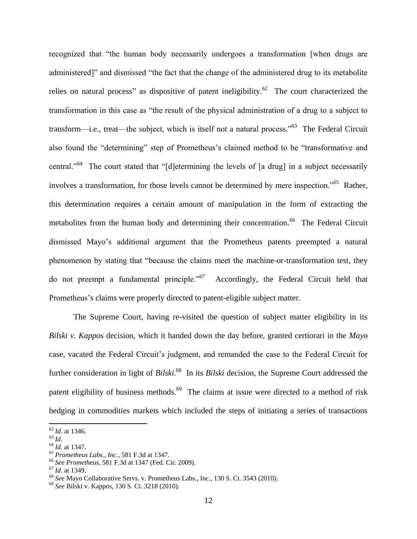recognized that "the human body necessarily undergoes a transformation [when drugs are administered]" and dismissed "the fact that the change of the administered drug to its metabolite relies on natural process" as dispositive of patent ineligibility.<sup>62</sup> The court characterized the transformation in this case as "the result of the physical administration of a drug to a subject to transform—i.e., treat—the subject, which is itself not a natural process."<sup>63</sup> The Federal Circuit also found the "determining" step of Prometheus's claimed method to be "transformative and central."<sup>64</sup> The court stated that "[d]etermining the levels of [a drug] in a subject necessarily involves a transformation, for those levels cannot be determined by mere inspection."<sup>65</sup> Rather, this determination requires a certain amount of manipulation in the form of extracting the metabolites from the human body and determining their concentration.<sup>66</sup> The Federal Circuit dismissed Mayo's additional argument that the Prometheus patents preempted a natural phenomenon by stating that "because the claims meet the machine-or-transformation test, they do not preempt a fundamental principle."<sup>67</sup> Accordingly, the Federal Circuit held that Prometheus's claims were properly directed to patent-eligible subject matter.

The Supreme Court, having re-visited the question of subject matter eligibility in its *Bilski v. Kappos* decision, which it handed down the day before, granted certiorari in the *Mayo*  case, vacated the Federal Circuit's judgment, and remanded the case to the Federal Circuit for further consideration in light of *Bilski*. 68 In its *Bilski* decision, the Supreme Court addressed the patent eligibility of business methods.<sup>69</sup> The claims at issue were directed to a method of risk hedging in commodities markets which included the steps of initiating a series of transactions

<sup>62</sup> *Id*. at 1346.

<sup>63</sup> *Id.*

<sup>64</sup> *Id*. at 1347.

<sup>65</sup> *Prometheus Labs., Inc*., 581 F.3d at 1347.

<sup>66</sup> *See Prometheus*, 581 F.3d at 1347 (Fed. Cir. 2009).

<sup>67</sup> *Id*. at 1349.

<sup>68</sup> *See* Mayo Collaborative Servs. v. Prometheus Labs., Inc., 130 S. Ct. 3543 (2010).

<sup>69</sup> *See* Bilski v. Kappos, 130 S. Ct. 3218 (2010).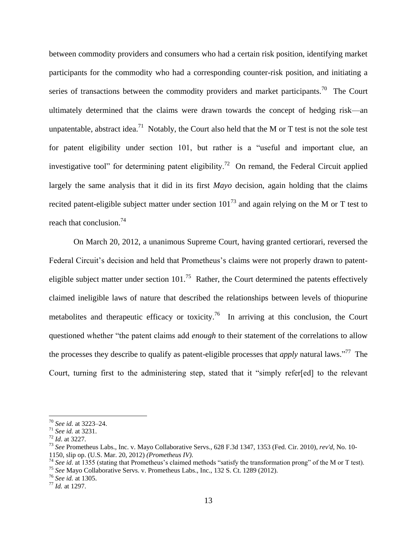between commodity providers and consumers who had a certain risk position, identifying market participants for the commodity who had a corresponding counter-risk position, and initiating a series of transactions between the commodity providers and market participants.<sup>70</sup> The Court ultimately determined that the claims were drawn towards the concept of hedging risk—an unpatentable, abstract idea.<sup>71</sup> Notably, the Court also held that the M or T test is not the sole test for patent eligibility under section 101, but rather is a "useful and important clue, an investigative tool" for determining patent eligibility.<sup>72</sup> On remand, the Federal Circuit applied largely the same analysis that it did in its first *Mayo* decision, again holding that the claims recited patent-eligible subject matter under section  $101^{73}$  and again relying on the M or T test to reach that conclusion.<sup>74</sup>

<span id="page-13-0"></span>On March 20, 2012, a unanimous Supreme Court, having granted certiorari, reversed the Federal Circuit's decision and held that Prometheus's claims were not properly drawn to patenteligible subject matter under section  $101$ <sup>75</sup> Rather, the Court determined the patents effectively claimed ineligible laws of nature that described the relationships between levels of thiopurine metabolites and therapeutic efficacy or toxicity.<sup>76</sup> In arriving at this conclusion, the Court questioned whether "the patent claims add *enough* to their statement of the correlations to allow the processes they describe to qualify as patent-eligible processes that *apply* natural laws." <sup>77</sup> The Court, turning first to the administering step, stated that it "simply refer[ed] to the relevant

 $\overline{a}$ 

<sup>75</sup> *See* Mayo Collaborative Servs. v. Prometheus Labs., Inc., 132 S. Ct. 1289 (2012).

<sup>70</sup> *See id.* at 3223–24.

<sup>71</sup> *See id.* at 3231.

<sup>72</sup> *Id*. at 3227.

<sup>73</sup> *See* Prometheus Labs., Inc. v. Mayo Collaborative Servs., 628 F.3d 1347, 1353 (Fed. Cir. 2010), *rev'd*, No. 10-

<sup>1150,</sup> slip op. (U.S. Mar. 20, 2012) *(Prometheus IV)*.

<sup>&</sup>lt;sup>74</sup> See id. at 1355 (stating that Prometheus's claimed methods "satisfy the transformation prong" of the M or T test).

<sup>76</sup> *See id.* at 1305.

<sup>77</sup> *Id.* at 1297.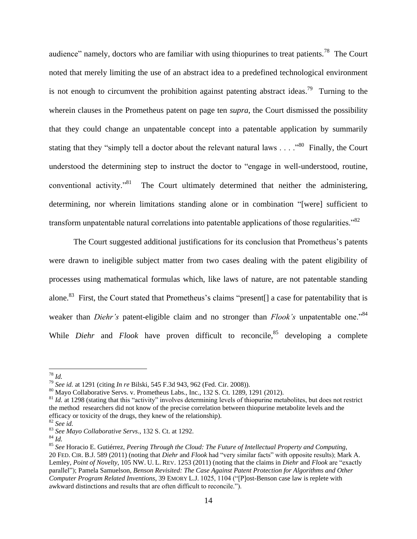audience" namely, doctors who are familiar with using thiopurines to treat patients.<sup>78</sup> The Court noted that merely limiting the use of an abstract idea to a predefined technological environment is not enough to circumvent the prohibition against patenting abstract ideas.<sup>79</sup> Turning to the wherein clauses in the Prometheus patent on page ten *supra*, the Court dismissed the possibility that they could change an unpatentable concept into a patentable application by summarily stating that they "simply tell a doctor about the relevant natural laws  $\dots$ ."<sup>80</sup> Finally, the Court understood the determining step to instruct the doctor to "engage in well-understood, routine, conventional activity.<sup> $31$ </sup> The Court ultimately determined that neither the administering, determining, nor wherein limitations standing alone or in combination "[were] sufficient to transform unpatentable natural correlations into patentable applications of those regularities."<sup>82</sup>

The Court suggested additional justifications for its conclusion that Prometheus's patents were drawn to ineligible subject matter from two cases dealing with the patent eligibility of processes using mathematical formulas which, like laws of nature, are not patentable standing alone.<sup>83</sup> First, the Court stated that Prometheus's claims "present[] a case for patentability that is weaker than *Diehr's* patent-eligible claim and no stronger than *Flook's* unpatentable one."<sup>84</sup> While *Diehr* and *Flook* have proven difficult to reconcile,<sup>85</sup> developing a complete

<sup>78</sup> *Id.*

<sup>79</sup> *See id.* at 1291 (citing *In re* Bilski, 545 F.3d 943, 962 (Fed. Cir. 2008)).

<sup>80</sup> Mayo Collaborative Servs. v. Prometheus Labs., Inc., 132 S. Ct. 1289, 1291 (2012).

<sup>&</sup>lt;sup>81</sup> *Id.* at 1298 (stating that this "activity" involves determining levels of thiopurine metabolites, but does not restrict the method researchers did not know of the precise correlation between thiopurine metabolite levels and the efficacy or toxicity of the drugs, they knew of the relationship).

<sup>82</sup> *See id.*

<sup>83</sup> *See Mayo Collaborative Servs*., 132 S. Ct. at 1292.

<sup>84</sup> *Id.*

<sup>85</sup> *See* Horacio E. Gutiérrez, *Peering Through the Cloud: The [Future of Intellectual Property and Computing](https://a.next.westlaw.com/Link/Document/FullText?findType=Y&serNum=0363659261&pubNum=101926&originationContext=document&transitionType=DocumentItem&contextData=(sc.History*oc.Search))*, 20 FED. CIR. B.J. [589 \(2011\)](https://a.next.westlaw.com/Link/Document/FullText?findType=Y&serNum=0363659261&pubNum=101926&originationContext=document&transitionType=DocumentItem&contextData=(sc.History*oc.Search)) (noting that *Diehr* and *Flook* had "very similar facts" with opposite results); Mark A. Lemley, *Point of Novelty*, 105 NW. U. L. REV. 1253 (2011) (noting that the claims in *Diehr* and *Flook* are "exactly parallel"); Pamela Samuelson, *Benson Revisited: The Case Against Patent Protection for Algorithms and Other Computer Program Related Inventions*, 39 EMORY L.J. 1025, 1104 ("[P]ost-Benson case law is replete with awkward distinctions and results that are often difficult to reconcile.").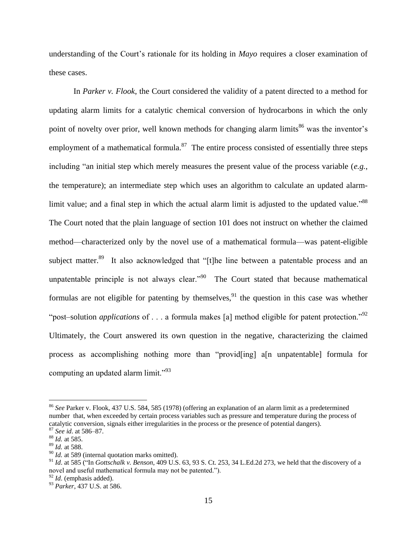understanding of the Court's rationale for its holding in *Mayo* requires a closer examination of these cases.

<span id="page-15-0"></span>In *Parker v. Flook*, the Court considered the validity of a patent directed to a method for updating alarm limits for a catalytic chemical conversion of hydrocarbons in which the only point of novelty over prior, well known methods for changing alarm limits<sup>86</sup> was the inventor's employment of a mathematical formula. $87$  The entire process consisted of essentially three steps including "an initial step which merely measures the present value of the process variable (*e.g.*, the temperature); an intermediate step which uses an algorithm to calculate an updated alarmlimit value; and a final step in which the actual alarm limit is adjusted to the updated value."<sup>88</sup> The Court noted that the plain language of section 101 does not instruct on whether the claimed method—characterized only by the novel use of a mathematical formula—was patent-eligible subject matter.<sup>89</sup> It also acknowledged that "[t]he line between a patentable process and an unpatentable principle is not always clear.<sup> $290$ </sup> The Court stated that because mathematical formulas are not eligible for patenting by themselves,<sup>91</sup> the question in this case was whether "post–solution *applications* of . . . a formula makes [a] method eligible for patent protection."<sup>92</sup> Ultimately, the Court answered its own question in the negative, characterizing the claimed process as accomplishing nothing more than "provid[ing] a[n unpatentable] formula for computing an updated alarm limit."<sup>93</sup>

<sup>86</sup> *See* Parker v. Flook, 437 U.S. 584, 585 (1978) (offering an explanation of an alarm limit as a predetermined number that, when exceeded by certain process variables such as pressure and temperature during the process of catalytic conversion, signals either irregularities in the process or the presence of potential dangers). <sup>87</sup> *See id*. at 586–87.

<sup>88</sup> *Id.* at 585.

<sup>89</sup> *Id.* at 588.

<sup>&</sup>lt;sup>90</sup> *Id.* at 589 (internal quotation marks omitted).

<sup>91</sup> *Id*. at 585 ("In *Gottschalk v. Benson*, 409 U.S. 63, 93 S. Ct. 253, 34 L.Ed.2d 273, we held that the discovery of a novel and useful mathematical formula may not be patented.").

<sup>92</sup> *Id*. (emphasis added).

<sup>93</sup> *Parker*, 437 U.S. at 586.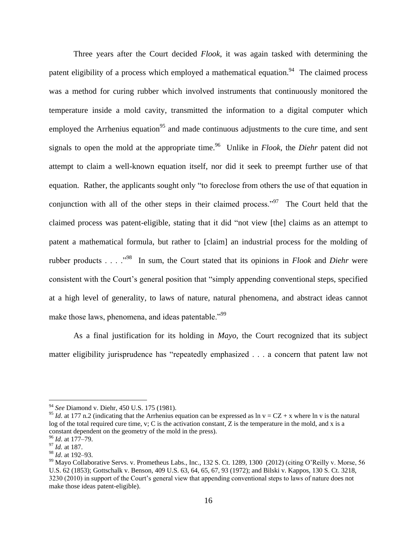Three years after the Court decided *Flook*, it was again tasked with determining the patent eligibility of a process which employed a mathematical equation.<sup>94</sup> The claimed process was a method for curing rubber which involved instruments that continuously monitored the temperature inside a mold cavity, transmitted the information to a digital computer which employed the Arrhenius equation<sup>95</sup> and made continuous adjustments to the cure time, and sent signals to open the mold at the appropriate time.<sup>96</sup> Unlike in *Flook*, the *Diehr* patent did not attempt to claim a well-known equation itself, nor did it seek to preempt further use of that equation. Rather, the applicants sought only "to foreclose from others the use of that equation in conjunction with all of the other steps in their claimed process." $97$  The Court held that the claimed process was patent-eligible, stating that it did "not view [the] claims as an attempt to patent a mathematical formula, but rather to [claim] an industrial process for the molding of rubber products . . . .<sup>"98</sup> In sum, the Court stated that its opinions in *Flook* and *Diehr* were consistent with the Court's general position that "simply appending conventional steps, specified at a high level of generality, to laws of nature, natural phenomena, and abstract ideas cannot make those laws, phenomena, and ideas patentable.<sup>"99</sup>

<span id="page-16-0"></span>As a final justification for its holding in *Mayo*, the Court recognized that its subject matter eligibility jurisprudence has "repeatedly emphasized . . . a concern that patent law not

<sup>94</sup> *See* Diamond v. Diehr, 450 U.S. 175 (1981).

<sup>&</sup>lt;sup>95</sup> *Id.* at 177 n.2 (indicating that the Arrhenius equation can be expressed as  $\ln v = CZ + x$  where  $\ln v$  is the natural log of the total required cure time, v; C is the activation constant, Z is the temperature in the mold, and x is a constant dependent on the geometry of the mold in the press).

<sup>96</sup> *Id*. at 177–79.

<sup>97</sup> *Id.* at 187.

<sup>98</sup> *Id*. at 192–93.

<sup>&</sup>lt;sup>99</sup> Mayo Collaborative Servs. v. Prometheus Labs., Inc., 132 S. Ct. 1289, 1300 (2012) (citing O'Reilly v. Morse, 56 U.S. 62 (1853); Gottschalk v. Benson, 409 U.S. 63, 64, 65, 67, 93 (1972); and Bilski v. Kappos, 130 S. Ct. 3218, 3230 (2010) in support of the Court's general view that appending conventional steps to laws of nature does not make those ideas patent-eligible).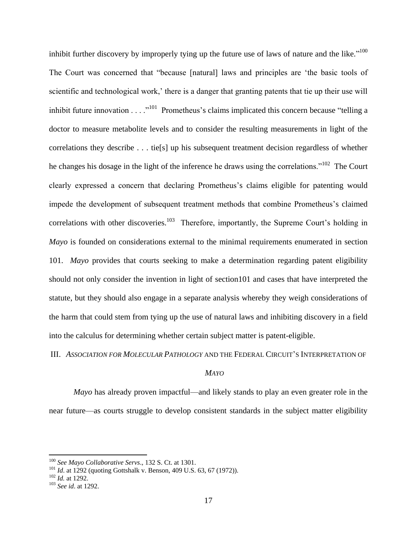<span id="page-17-1"></span>inhibit further discovery by improperly tying up the future use of laws of nature and the like."<sup>100</sup> The Court was concerned that "because [natural] laws and principles are 'the basic tools of scientific and technological work,' there is a danger that granting patents that tie up their use will inhibit future innovation  $\dots$   $\cdot$ <sup>101</sup> Prometheus's claims implicated this concern because "telling a doctor to measure metabolite levels and to consider the resulting measurements in light of the correlations they describe . . . tie[s] up his subsequent treatment decision regardless of whether he changes his dosage in the light of the inference he draws using the correlations."<sup>102</sup> The Court clearly expressed a concern that declaring Prometheus's claims eligible for patenting would impede the development of subsequent treatment methods that combine Prometheus's claimed correlations with other discoveries.<sup>103</sup> Therefore, importantly, the Supreme Court's holding in *Mayo* is founded on considerations external to the minimal requirements enumerated in section 101. *Mayo* provides that courts seeking to make a determination regarding patent eligibility should not only consider the invention in light of section101 and cases that have interpreted the statute, but they should also engage in a separate analysis whereby they weigh considerations of the harm that could stem from tying up the use of natural laws and inhibiting discovery in a field into the calculus for determining whether certain subject matter is patent-eligible.

III. *ASSOCIATION FOR MOLECULAR PATHOLOGY* AND THE FEDERAL CIRCUIT'S INTERPRETATION OF

## <span id="page-17-0"></span>*MAYO*

*Mayo* has already proven impactful—and likely stands to play an even greater role in the near future—as courts struggle to develop consistent standards in the subject matter eligibility

<sup>100</sup> *See Mayo Collaborative Servs*., 132 S. Ct. at 1301.

<sup>&</sup>lt;sup>101</sup> *Id.* at 1292 (quoting Gottshalk v. Benson, 409 U.S. 63, 67 (1972)).

<sup>102</sup> *Id.* at 1292.

<sup>103</sup> *See id*. at 1292.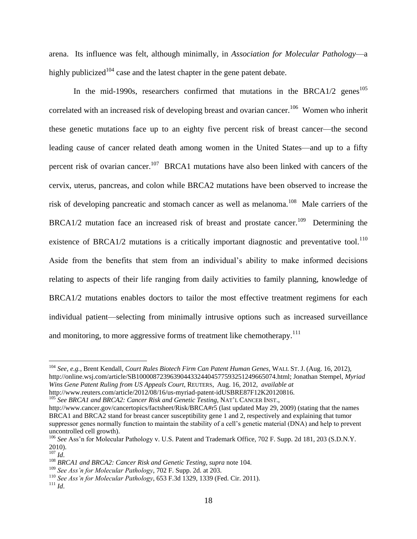arena. Its influence was felt, although minimally, in *Association for Molecular Pathology*—a highly publicized<sup>104</sup> case and the latest chapter in the gene patent debate.

In the mid-1990s, researchers confirmed that mutations in the BRCA1/2 genes<sup>105</sup> correlated with an increased risk of developing breast and ovarian cancer.<sup>106</sup> Women who inherit these genetic mutations face up to an eighty five percent risk of breast cancer—the second leading cause of cancer related death among women in the United States—and up to a fifty percent risk of ovarian cancer.<sup>107</sup> BRCA1 mutations have also been linked with cancers of the cervix, uterus, pancreas, and colon while BRCA2 mutations have been observed to increase the risk of developing pancreatic and stomach cancer as well as melanoma.<sup>108</sup> Male carriers of the BRCA1/2 mutation face an increased risk of breast and prostate cancer.<sup>109</sup> Determining the existence of BRCA1/2 mutations is a critically important diagnostic and preventative tool.<sup>110</sup> Aside from the benefits that stem from an individual's ability to make informed decisions relating to aspects of their life ranging from daily activities to family planning, knowledge of BRCA1/2 mutations enables doctors to tailor the most effective treatment regimens for each individual patient—selecting from minimally intrusive options such as increased surveillance and monitoring, to more aggressive forms of treatment like chemotherapy.<sup>111</sup>

<sup>104</sup> *See, e.g.*, Brent Kendall, *Court Rules Biotech Firm Can Patent Human Genes*, WALL ST. J. (Aug. 16, 2012), http://online.wsj.com/article/SB10000872396390443324404577593251249665074.html; Jonathan Stempel, *Myriad Wins Gene Patent Ruling from US Appeals Court*, REUTERS, Aug. 16, 2012, *available at* http://www.reuters.com/article/2012/08/16/us-myriad-patent-idUSBRE87F12K20120816. <sup>105</sup> *See BRCA1 and BRCA2: Cancer Risk and Genetic Testing*, NAT'L CANCER INST.,

http://www.cancer.gov/cancertopics/factsheet/Risk/BRCA#r5 (last updated May 29, 2009) (stating that the names BRCA1 and BRCA2 stand for breast cancer susceptibility gene 1 and 2, respectively and explaining that tumor suppressor genes normally function to maintain the stability of a cell's genetic material (DNA) and help to prevent uncontrolled cell growth).

<sup>106</sup> *See* Ass'n for Molecular Pathology v. U.S. Patent and Trademark Office*,* 702 F. Supp. 2d 181, 203 (S.D.N.Y. 2010).

<sup>107</sup> *Id*.

<sup>108</sup> *BRCA1 and BRCA2: Cancer Risk and Genetic Testing*, *supra* note 104.

<sup>109</sup> *See Ass'n for Molecular Pathology*, 702 F. Supp. 2d. at 203.

<sup>110</sup> *See Ass'n for Molecular Pathology*, 653 F.3d 1329, 1339 (Fed. Cir. 2011).

<sup>111</sup> *Id*.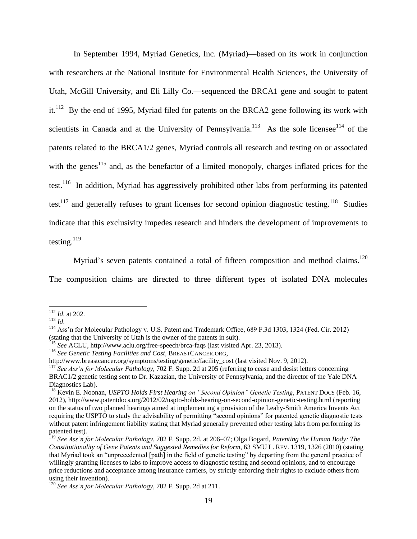In September 1994, Myriad Genetics, Inc. (Myriad)—based on its work in conjunction with researchers at the National Institute for Environmental Health Sciences, the University of Utah, McGill University, and Eli Lilly Co.—sequenced the BRCA1 gene and sought to patent it.<sup>112</sup> By the end of 1995, Myriad filed for patents on the BRCA2 gene following its work with scientists in Canada and at the University of Pennsylvania.<sup>113</sup> As the sole licensee<sup>114</sup> of the patents related to the BRCA1/2 genes, Myriad controls all research and testing on or associated with the genes<sup>115</sup> and, as the benefactor of a limited monopoly, charges inflated prices for the test.<sup>116</sup> In addition, Myriad has aggressively prohibited other labs from performing its patented test<sup>117</sup> and generally refuses to grant licenses for second opinion diagnostic testing.<sup>118</sup> Studies indicate that this exclusivity impedes research and hinders the development of improvements to testing. $119$ 

Myriad's seven patents contained a total of fifteen composition and method claims.<sup>120</sup>

The composition claims are directed to three different types of isolated DNA molecules

<sup>112</sup> *Id*. at 202.

<sup>113</sup> *Id*.

<sup>&</sup>lt;sup>114</sup> Ass'n for Molecular Pathology v. U.S. Patent and Trademark Office, 689 F.3d 1303, 1324 (Fed. Cir. 2012) (stating that the University of Utah is the owner of the patents in suit).

<sup>115</sup> *See* ACLU, http://www.aclu.org/free-speech/brca-faqs (last visited Apr. 23, 2013).

<sup>116</sup> *See Genetic Testing Facilities and Cost*, BREASTCANCER.ORG,

http://www.breastcancer.org/symptoms/testing/genetic/facility\_cost (last visited Nov. 9, 2012).

<sup>&</sup>lt;sup>117</sup> See Ass'n for Molecular Pathology, 702 F. Supp. 2d at 205 (referring to cease and desist letters concerning BRAC1/2 genetic testing sent to Dr. Kazazian, the University of Pennsylvania, and the director of the Yale DNA Diagnostics Lab).

<sup>118</sup> Kevin E. Noonan, *USPTO Holds First Hearing on "Second Opinion" Genetic Testing*, PATENT DOCS (Feb. 16, 2012), http://www.patentdocs.org/2012/02/uspto-holds-hearing-on-second-opinion-genetic-testing.html (reporting on the status of two planned hearings aimed at implementing a provision of the Leahy-Smith America Invents Act requiring the USPTO to study the advisability of permitting "second opinions" for patented genetic diagnostic tests without patent infringement liability stating that Myriad generally prevented other testing labs from performing its patented test).

<sup>119</sup> *See Ass'n for Molecular Pathology*, 702 F. Supp. 2d. at 206–07; Olga Bogard, *[Patenting the Human Body: The](https://a.next.westlaw.com/Link/Document/FullText?findType=Y&serNum=0357147923&pubNum=101925&originationContext=document&transitionType=DocumentItem&contextData=(sc.History*oc.Search)#co_pp_sp_101925_1326)  [Constitutionality of Gene Patents and Suggested Remedies for Reform](https://a.next.westlaw.com/Link/Document/FullText?findType=Y&serNum=0357147923&pubNum=101925&originationContext=document&transitionType=DocumentItem&contextData=(sc.History*oc.Search)#co_pp_sp_101925_1326)*, 63 SMU L. REV. 1319, 1326 (2010) (stating that Myriad took an "unprecedented [path] in the field of genetic testing" by departing from the general practice of willingly granting licenses to labs to improve access to diagnostic testing and second opinions, and to encourage price reductions and acceptance among insurance carriers, by strictly enforcing their rights to exclude others from using their invention).

<sup>120</sup> *See Ass'n for Molecular Pathology*, 702 F. Supp. 2d at 211.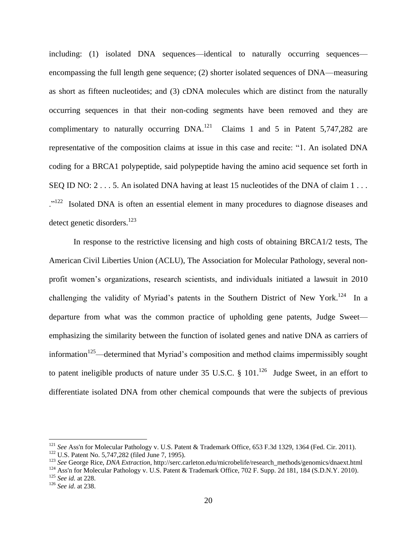including: (1) isolated DNA sequences—identical to naturally occurring sequences encompassing the full length gene sequence; (2) shorter isolated sequences of DNA—measuring as short as fifteen nucleotides; and (3) cDNA molecules which are distinct from the naturally occurring sequences in that their non-coding segments have been removed and they are complimentary to naturally occurring  $DNA.<sup>121</sup>$  Claims 1 and 5 in Patent 5,747,282 are representative of the composition claims at issue in this case and recite: "1. An isolated DNA coding for a BRCA1 polypeptide, said polypeptide having the amino acid sequence set forth in SEQ ID NO: 2 . . . 5. An isolated DNA having at least 15 nucleotides of the DNA of claim 1 . . . ."<sup>122</sup> Isolated DNA is often an essential element in many procedures to diagnose diseases and detect genetic disorders.<sup>123</sup>

In response to the restrictive licensing and high costs of obtaining BRCA1/2 tests, The American Civil Liberties Union (ACLU), The Association for Molecular Pathology, several nonprofit women's organizations, research scientists, and individuals initiated a lawsuit in 2010 challenging the validity of Myriad's patents in the Southern District of New York.<sup>124</sup> In a departure from what was the common practice of upholding gene patents, Judge Sweet emphasizing the similarity between the function of isolated genes and native DNA as carriers of information<sup>125</sup>—determined that Myriad's composition and method claims impermissibly sought to patent ineligible products of nature under 35 U.S.C.  $\S$  101.<sup>126</sup> Judge Sweet, in an effort to differentiate isolated DNA from other chemical compounds that were the subjects of previous

<sup>&</sup>lt;sup>121</sup> See Ass'n for Molecular Pathology v. U.S. Patent & Trademark Office, 653 F.3d 1329, 1364 (Fed. Cir. 2011).

<sup>122</sup> U.S. Patent No. 5,747,282 (filed June 7, 1995).

<sup>123</sup> *See* George Rice, *DNA Extraction*, http://serc.carleton.edu/microbelife/research\_methods/genomics/dnaext.html

<sup>&</sup>lt;sup>124</sup> [Ass'n for Molecular Pathology v. U.S. Patent & Trademark Office, 702 F. Supp. 2d 181, 184 \(S.D.N.Y. 2010\).](https://1.next.westlaw.com/Link/Document/FullText?findType=Y&serNum=2021662409&pubNum=4637&originationContext=document&transitionType=DocumentItem&contextData=(sc.History*oc.Search)#co_pp_sp_4637_184)

<sup>125</sup> *See id.* at 228.

<sup>126</sup> *See id*. at 238.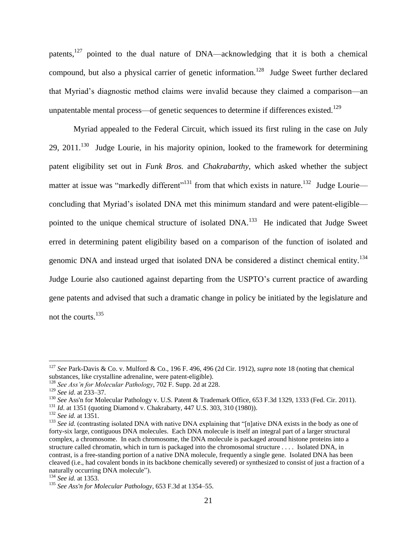patents,<sup>127</sup> pointed to the dual nature of DNA—acknowledging that it is both a chemical compound, but also a physical carrier of genetic information.<sup>128</sup> Judge Sweet further declared that Myriad's diagnostic method claims were invalid because they claimed a comparison—an unpatentable mental process—of genetic sequences to determine if differences existed.<sup>129</sup>

Myriad appealed to the Federal Circuit, which issued its first ruling in the case on July 29, 2011. $130$  Judge Lourie, in his majority opinion, looked to the framework for determining patent eligibility set out in *Funk Bros.* and *Chakrabarthy*, which asked whether the subject matter at issue was "markedly different"<sup>131</sup> from that which exists in nature.<sup>132</sup> Judge Lourie concluding that Myriad's isolated DNA met this minimum standard and were patent-eligible pointed to the unique chemical structure of isolated DNA.<sup>133</sup> He indicated that Judge Sweet erred in determining patent eligibility based on a comparison of the function of isolated and genomic DNA and instead urged that isolated DNA be considered a distinct chemical entity.<sup>134</sup> Judge Lourie also cautioned against departing from the USPTO's current practice of awarding gene patents and advised that such a dramatic change in policy be initiated by the legislature and not the courts.<sup>135</sup>

<sup>127</sup> *See* Park-Davis & Co. v. Mulford & Co., 196 F. 496, 496 (2d Cir. 1912), *supra* note [18](#page-5-0) (noting that chemical substances, like crystalline adrenaline, were patent-eligible).

<sup>128</sup> *See Ass'n for Molecular Pathology*, 702 F. Supp. 2d at 228.

<sup>129</sup> *See id*. at 233–37.

<sup>130</sup> *See* Ass'n for Molecular Pathology v. U.S. Patent & Trademark Office, 653 F.3d 1329, 1333 (Fed. Cir. 2011).

<sup>131</sup> *Id*. at 1351 (quoting Diamond v. Chakrabarty, 447 U.S. 303, 310 (1980)).

<sup>132</sup> *See id.* at 1351.

<sup>&</sup>lt;sup>133</sup> See id. (contrasting isolated DNA with native DNA explaining that "[n]ative DNA exists in the body as one of forty-six large, contiguous DNA molecules. Each DNA molecule is itself an integral part of a larger structural complex, a chromosome. In each chromosome, the DNA molecule is packaged around histone proteins into a structure called chromatin, which in turn is packaged into the chromosomal structure . . . . Isolated DNA, in contrast, is a free-standing portion of a native DNA molecule, frequently a single gene. Isolated DNA has been cleaved (i.e.*,* had covalent bonds in its backbone chemically severed) or synthesized to consist of just a fraction of a naturally occurring DNA molecule").

<sup>134</sup> *See id.* at 1353.

<sup>135</sup> *See Ass'n for Molecular Pathology*, 653 F.3d at 1354–55.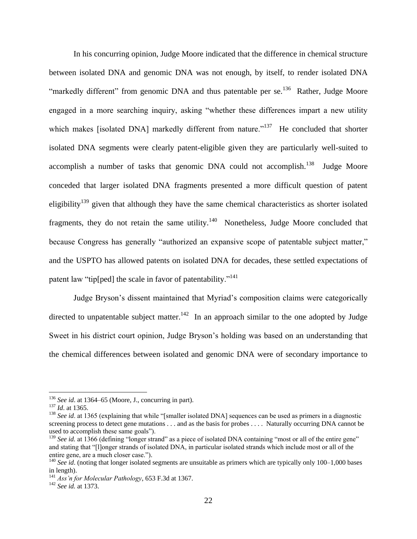In his concurring opinion, Judge Moore indicated that the difference in chemical structure between isolated DNA and genomic DNA was not enough, by itself, to render isolated DNA "markedly different" from genomic DNA and thus patentable per se.<sup>136</sup> Rather, Judge Moore engaged in a more searching inquiry, asking "whether these differences impart a new utility which makes [isolated DNA] markedly different from nature."<sup>137</sup> He concluded that shorter isolated DNA segments were clearly patent-eligible given they are particularly well-suited to accomplish a number of tasks that genomic DNA could not accomplish.<sup>138</sup> Judge Moore conceded that larger isolated DNA fragments presented a more difficult question of patent eligibility<sup>139</sup> given that although they have the same chemical characteristics as shorter isolated fragments, they do not retain the same utility. $140$  Nonetheless, Judge Moore concluded that because Congress has generally "authorized an expansive scope of patentable subject matter," and the USPTO has allowed patents on isolated DNA for decades, these settled expectations of patent law "tip[ped] the scale in favor of patentability."<sup>141</sup>

Judge Bryson's dissent maintained that Myriad's composition claims were categorically directed to unpatentable subject matter.<sup>142</sup> In an approach similar to the one adopted by Judge Sweet in his district court opinion, Judge Bryson's holding was based on an understanding that the chemical differences between isolated and genomic DNA were of secondary importance to

<sup>136</sup> *See id*. at 1364–65 (Moore, J., concurring in part).

<sup>137</sup> *Id*. at 1365.

<sup>&</sup>lt;sup>138</sup> See id. at 1365 (explaining that while "[smaller isolated DNA] sequences can be used as primers in a diagnostic screening process to detect gene mutations . . . and as the basis for probes . . . . Naturally occurring DNA cannot be used to accomplish these same goals").

<sup>&</sup>lt;sup>139</sup> *See id.* at 1366 (defining "longer strand" as a piece of isolated DNA containing "most or all of the entire gene" and stating that "[l]onger strands of isolated DNA, in particular isolated strands which include most or all of the entire gene, are a much closer case.").

<sup>&</sup>lt;sup>140</sup> See id. (noting that longer isolated segments are unsuitable as primers which are typically only 100–1,000 bases in length).

<sup>141</sup> *Ass'n for Molecular Pathology*, 653 F.3d at 1367.

<sup>142</sup> *See id.* at 1373.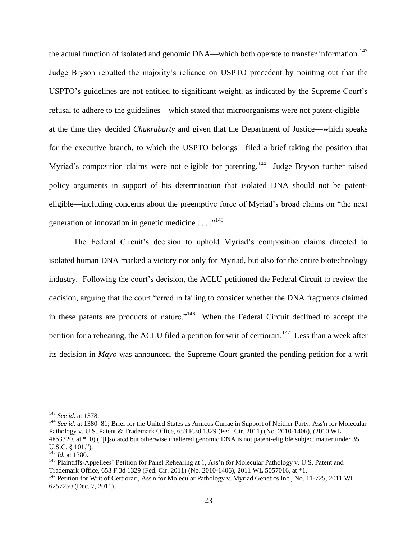the actual function of isolated and genomic DNA—which both operate to transfer information.<sup>143</sup> Judge Bryson rebutted the majority's reliance on USPTO precedent by pointing out that the USPTO's guidelines are not entitled to significant weight, as indicated by the Supreme Court's refusal to adhere to the guidelines—which stated that microorganisms were not patent-eligible at the time they decided *Chakrabarty* and given that the Department of Justice—which speaks for the executive branch, to which the USPTO belongs—filed a brief taking the position that Myriad's composition claims were not eligible for patenting.<sup>144</sup> Judge Bryson further raised policy arguments in support of his determination that isolated DNA should not be patenteligible—including concerns about the preemptive force of Myriad's broad claims on "the next generation of innovation in genetic medicine  $\dots$ <sup>145</sup>

The Federal Circuit's decision to uphold Myriad's composition claims directed to isolated human DNA marked a victory not only for Myriad, but also for the entire biotechnology industry. Following the court's decision, the ACLU petitioned the Federal Circuit to review the decision, arguing that the court "erred in failing to consider whether the DNA fragments claimed in these patents are products of nature."<sup>146</sup> When the Federal Circuit declined to accept the petition for a rehearing, the ACLU filed a petition for writ of certiorari.<sup>147</sup> Less than a week after its decision in *Mayo* was announced, the Supreme Court granted the pending petition for a writ

<sup>143</sup> *See id.* at 1378.

<sup>&</sup>lt;sup>144</sup> See id. at 1380–81; Brief for the United States as Amicus Curiae in Support of Neither Party, Ass'n for Molecular Pathology v. U.S. Patent & Trademark Office, 653 F.3d 1329 (Fed. Cir. 2011) (No. 2010-1406), (2010 WL 4853320, at \*10) ("[I]solated but otherwise unaltered genomic DNA is not patent-eligible subject matter under 35 U.S.C. § 101.").

<sup>145</sup> *Id.* at 1380.

<sup>146</sup> Plaintiffs-Appellees' Petition for Panel Rehearing at 1, Ass'n for Molecular Pathology v. U.S. Patent and Trademark Office, 653 F.3d 1329 (Fed. Cir. 2011) (No. 2010-1406), 2011 WL 5057016, at \*1.

<sup>&</sup>lt;sup>147</sup> Petition for Writ of Certiorari, Ass'n for Molecular Pathology v. Myriad Genetics Inc., No. 11-725, 2011 WL 6257250 (Dec. 7, 2011).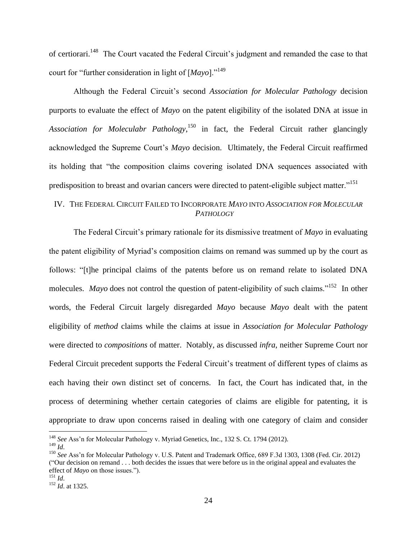of certiorari.<sup>148</sup> The Court vacated the Federal Circuit's judgment and remanded the case to that court for "further consideration in light of [*Mayo*]."<sup>149</sup>

Although the Federal Circuit's second *Association for Molecular Pathology* decision purports to evaluate the effect of *Mayo* on the patent eligibility of the isolated DNA at issue in *Association for Moleculabr Pathology*, <sup>150</sup> in fact, the Federal Circuit rather glancingly acknowledged the Supreme Court's *Mayo* decision. Ultimately, the Federal Circuit reaffirmed its holding that "the composition claims covering isolated DNA sequences associated with predisposition to breast and ovarian cancers were directed to patent-eligible subject matter."<sup>151</sup>

## IV. THE FEDERAL CIRCUIT FAILED TO INCORPORATE *MAYO* INTO *ASSOCIATION FOR MOLECULAR PATHOLOGY*

The Federal Circuit's primary rationale for its dismissive treatment of *Mayo* in evaluating the patent eligibility of Myriad's composition claims on remand was summed up by the court as follows: "[t]he principal claims of the patents before us on remand relate to isolated DNA molecules. *Mayo* does not control the question of patent-eligibility of such claims."<sup>152</sup> In other words, the Federal Circuit largely disregarded *Mayo* because *Mayo* dealt with the patent eligibility of *method* claims while the claims at issue in *Association for Molecular Pathology* were directed to *compositions* of matter. Notably, as discussed *infra*, neither Supreme Court nor Federal Circuit precedent supports the Federal Circuit's treatment of different types of claims as each having their own distinct set of concerns. In fact, the Court has indicated that, in the process of determining whether certain categories of claims are eligible for patenting, it is appropriate to draw upon concerns raised in dealing with one category of claim and consider

<sup>148</sup> *See* Ass'n for Molecular Pathology v. Myriad Genetics, Inc., 132 S. Ct. 1794 (2012). <sup>149</sup> *Id*.

<sup>150</sup> *See* Ass'n for Molecular Pathology v. U.S. Patent and Trademark Office, 689 F.3d 1303, 1308 (Fed. Cir. 2012) ("Our decision on remand . . . both decides the issues that were before us in the original appeal and evaluates the effect of *Mayo* on those issues.").

 $^{151}$  *Id.* 

<sup>152</sup> *Id*. at 1325.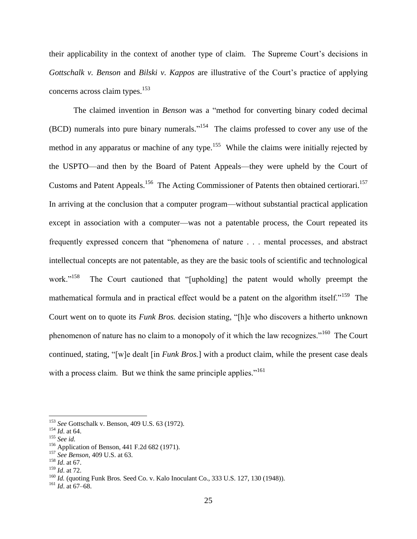their applicability in the context of another type of claim. The Supreme Court's decisions in *Gottschalk v. Benson* and *Bilski v. Kappos* are illustrative of the Court's practice of applying concerns across claim types.<sup>153</sup>

The claimed invention in *Benson* was a "method for converting binary coded decimal  $(BCD)$  numerals into pure binary numerals."<sup>154</sup> The claims professed to cover any use of the method in any apparatus or machine of any type.<sup>155</sup> While the claims were initially rejected by the USPTO—and then by the Board of Patent Appeals—they were upheld by the Court of Customs and Patent Appeals.<sup>156</sup> The Acting Commissioner of Patents then obtained certiorari.<sup>157</sup> In arriving at the conclusion that a computer program—without substantial practical application except in association with a computer—was not a patentable process, the Court repeated its frequently expressed concern that "phenomena of nature . . . mental processes, and abstract intellectual concepts are not patentable, as they are the basic tools of scientific and technological work." $^{158}$  The Court cautioned that "[upholding] the patent would wholly preempt the mathematical formula and in practical effect would be a patent on the algorithm itself."<sup>159</sup> The Court went on to quote its *Funk Bros.* decision stating, "[h]e who discovers a hitherto unknown phenomenon of nature has no claim to a monopoly of it which the law recognizes."<sup>160</sup> The Court continued, stating, "[w]e dealt [in *Funk Bros.*] with a product claim, while the present case deals with a process claim. But we think the same principle applies."<sup>161</sup>

<sup>153</sup> *See* Gottschalk v. Benson, 409 U.S. 63 (1972).

<sup>154</sup> *Id*. at 64.

<sup>155</sup> *See id.* 

<sup>156</sup> Application of Benson, 441 F.2d 682 (1971).

<sup>157</sup> *See Benson*, 409 U.S. at 63.

<sup>158</sup> *Id*. at 67.

<sup>159</sup> *Id*. at 72.

<sup>160</sup> *Id.* (quoting Funk Bros*.* Seed Co. v. Kalo Inoculant Co., 333 U.S. 127, 130 (1948)).

<sup>161</sup> *Id*. at 67–68.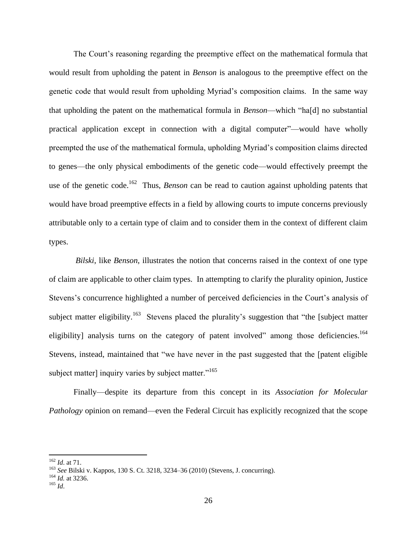The Court's reasoning regarding the preemptive effect on the mathematical formula that would result from upholding the patent in *Benson* is analogous to the preemptive effect on the genetic code that would result from upholding Myriad's composition claims. In the same way that upholding the patent on the mathematical formula in *Benson*—which "ha[d] no substantial practical application except in connection with a digital computer"—would have wholly preempted the use of the mathematical formula, upholding Myriad's composition claims directed to genes—the only physical embodiments of the genetic code—would effectively preempt the use of the genetic code.<sup>162</sup> Thus, *Benson* can be read to caution against upholding patents that would have broad preemptive effects in a field by allowing courts to impute concerns previously attributable only to a certain type of claim and to consider them in the context of different claim types.

*Bilski*, like *Benson*, illustrates the notion that concerns raised in the context of one type of claim are applicable to other claim types. In attempting to clarify the plurality opinion, Justice Stevens's concurrence highlighted a number of perceived deficiencies in the Court's analysis of subject matter eligibility.<sup>163</sup> Stevens placed the plurality's suggestion that "the [subject matter eligibility] analysis turns on the category of patent involved" among those deficiencies.<sup>164</sup> Stevens, instead, maintained that "we have never in the past suggested that the [patent eligible subject matter] inquiry varies by subject matter. $165$ 

Finally—despite its departure from this concept in its *Association for Molecular Pathology* opinion on remand—even the Federal Circuit has explicitly recognized that the scope

<sup>162</sup> *Id*. at 71.

<sup>163</sup> *See* Bilski v. Kappos, 130 S. Ct. 3218, 3234–36 (2010) (Stevens, J. concurring).

<sup>164</sup> *Id.* at 3236.

<sup>165</sup> *Id*.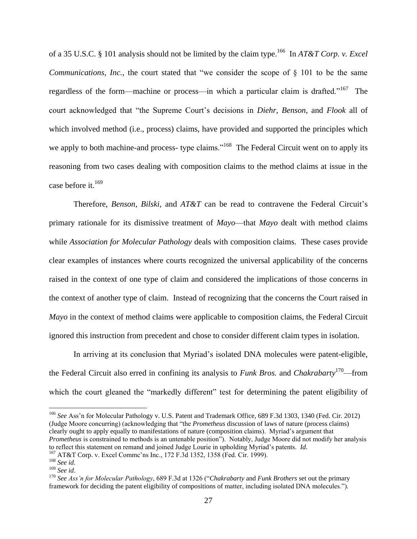of a 35 U.S.C. § 101 analysis should not be limited by the claim type. <sup>166</sup> In *AT&T Corp. v. Excel Communications, Inc., the court stated that "we consider the scope of § 101 to be the same* regardless of the form—machine or process—in which a particular claim is drafted."<sup>167</sup> The court acknowledged that "the Supreme Court's decisions in *Diehr*, *Benson*, and *Flook* all of which involved method (i.e., process) claims, have provided and supported the principles which we apply to both machine-and process- type claims."<sup>168</sup> The Federal Circuit went on to apply its reasoning from two cases dealing with composition claims to the method claims at issue in the case before it.  $169$ 

Therefore, *Benson*, *Bilski*, and *AT&T* can be read to contravene the Federal Circuit's primary rationale for its dismissive treatment of *Mayo*—that *Mayo* dealt with method claims while *Association for Molecular Pathology* deals with composition claims. These cases provide clear examples of instances where courts recognized the universal applicability of the concerns raised in the context of one type of claim and considered the implications of those concerns in the context of another type of claim. Instead of recognizing that the concerns the Court raised in *Mayo* in the context of method claims were applicable to composition claims, the Federal Circuit ignored this instruction from precedent and chose to consider different claim types in isolation.

In arriving at its conclusion that Myriad's isolated DNA molecules were patent-eligible, the Federal Circuit also erred in confining its analysis to *Funk Bros.* and *Chakrabarty*<sup>170</sup>—from which the court gleaned the "markedly different" test for determining the patent eligibility of

<sup>166</sup> *See* Ass'n for Molecular Pathology v. U.S. Patent and Trademark Office, 689 F.3d 1303, 1340 (Fed. Cir. 2012) (Judge Moore concurring) (acknowledging that "the *Prometheus* discussion of laws of nature (process claims) clearly ought to apply equally to manifestations of nature (composition claims). Myriad's argument that *Prometheus* is constrained to methods is an untenable position"). Notably, Judge Moore did not modify her analysis to reflect this statement on remand and joined Judge Lourie in upholding Myriad's patents. *Id*.

<sup>167</sup> AT&T Corp. v. Excel Commc'ns Inc., 172 F.3d 1352, 1358 (Fed. Cir. 1999).

<sup>168</sup> *See id*.

<sup>169</sup> *See id*.

<sup>170</sup> *See Ass'n for Molecular Pathology*, 689 F.3d at 1326 ("*Chakrabarty* and *Funk Brothers* set out the primary framework for deciding the patent eligibility of compositions of matter, including isolated DNA molecules.").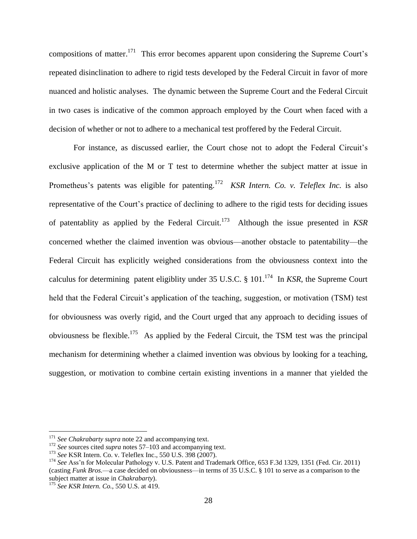compositions of matter.<sup>171</sup> This error becomes apparent upon considering the Supreme Court's repeated disinclination to adhere to rigid tests developed by the Federal Circuit in favor of more nuanced and holistic analyses. The dynamic between the Supreme Court and the Federal Circuit in two cases is indicative of the common approach employed by the Court when faced with a decision of whether or not to adhere to a mechanical test proffered by the Federal Circuit.

For instance, as discussed earlier, the Court chose not to adopt the Federal Circuit's exclusive application of the M or T test to determine whether the subject matter at issue in Prometheus's patents was eligible for patenting.<sup>172</sup> *KSR Intern. Co. v. Teleflex Inc.* is also representative of the Court's practice of declining to adhere to the rigid tests for deciding issues of patentablity as applied by the Federal Circuit.<sup>173</sup> Although the issue presented in *KSR*  concerned whether the claimed invention was obvious—another obstacle to patentability—the Federal Circuit has explicitly weighed considerations from the obviousness context into the calculus for determining patent eligiblity under 35 U.S.C.  $\S$  101.<sup>174</sup> In *KSR*, the Supreme Court held that the Federal Circuit's application of the teaching, suggestion, or motivation (TSM) test for obviousness was overly rigid, and the Court urged that any approach to deciding issues of obviousness be flexible.<sup>175</sup> As applied by the Federal Circuit, the TSM test was the principal mechanism for determining whether a claimed invention was obvious by looking for a teaching, suggestion, or motivation to combine certain existing inventions in a manner that yielded the

<sup>&</sup>lt;sup>171</sup> See Chakrabarty supra note [22](#page-6-0) and accompanying text.

<sup>172</sup> *See* sources cited *supra* notes [57–](#page-11-1)[103](#page-17-0) and accompanying text.

<sup>173</sup> *See* KSR Intern. Co. v. Teleflex Inc., 550 U.S. 398 (2007).

<sup>174</sup> *See* Ass'n for Molecular Pathology v. U.S. Patent and Trademark Office, 653 F.3d 1329, 1351 (Fed. Cir. 2011) (casting *Funk Bros.*—a case decided on obviousness—in terms of 35 U.S.C. § 101 to serve as a comparison to the subject matter at issue in *Chakrabarty*).

<sup>175</sup> *See KSR Intern. Co.*, 550 U.S. at 419.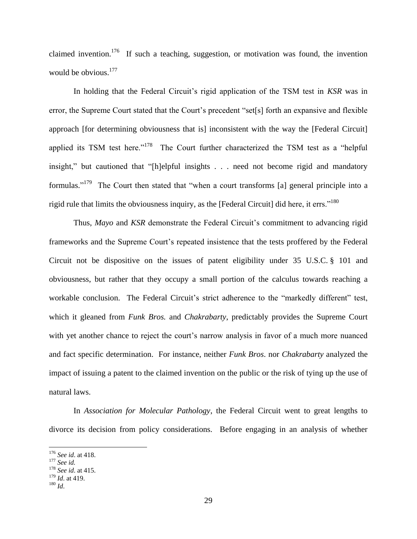claimed invention.<sup>176</sup> If such a teaching, suggestion, or motivation was found, the invention would be obvious.<sup>177</sup>

In holding that the Federal Circuit's rigid application of the TSM test in *KSR* was in error, the Supreme Court stated that the Court's precedent "set[s] forth an expansive and flexible approach [for determining obviousness that is] inconsistent with the way the [Federal Circuit] applied its TSM test here."<sup>178</sup> The Court further characterized the TSM test as a "helpful insight," but cautioned that "[h]elpful insights . . . need not become rigid and mandatory formulas."<sup>179</sup> The Court then stated that "when a court transforms [a] general principle into a rigid rule that limits the obviousness inquiry, as the [Federal Circuit] did here, it errs."<sup>180</sup>

Thus, *Mayo* and *KSR* demonstrate the Federal Circuit's commitment to advancing rigid frameworks and the Supreme Court's repeated insistence that the tests proffered by the Federal Circuit not be dispositive on the issues of patent eligibility under 35 U.S.C. § 101 and obviousness, but rather that they occupy a small portion of the calculus towards reaching a workable conclusion. The Federal Circuit's strict adherence to the "markedly different" test, which it gleaned from *Funk Bros.* and *Chakrabarty*, predictably provides the Supreme Court with yet another chance to reject the court's narrow analysis in favor of a much more nuanced and fact specific determination. For instance, neither *Funk Bros*. nor *Chakrabarty* analyzed the impact of issuing a patent to the claimed invention on the public or the risk of tying up the use of natural laws.

In *Association for Molecular Pathology*, the Federal Circuit went to great lengths to divorce its decision from policy considerations. Before engaging in an analysis of whether

<sup>176</sup> *See id*. at 418.

<sup>177</sup> *See id.* 

<sup>178</sup> *See id*. at 415.

<sup>179</sup> *Id*. at 419.

<sup>180</sup> *Id*.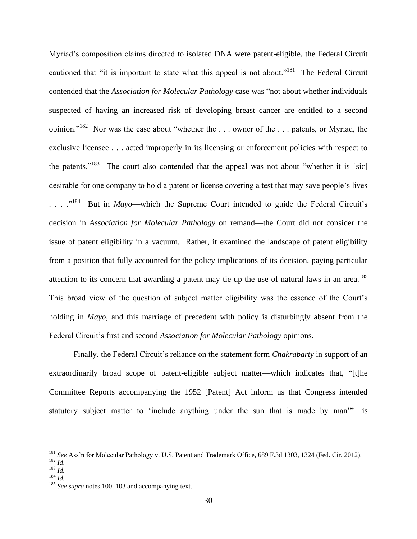Myriad's composition claims directed to isolated DNA were patent-eligible, the Federal Circuit cautioned that "it is important to state what this appeal is not about."<sup>181</sup> The Federal Circuit contended that the *Association for Molecular Pathology* case was "not about whether individuals suspected of having an increased risk of developing breast cancer are entitled to a second opinion."<sup>182</sup> Nor was the case about "whether the ... owner of the ... patents, or Myriad, the exclusive licensee . . . acted improperly in its licensing or enforcement policies with respect to the patents."<sup>183</sup> The court also contended that the appeal was not about "whether it is [sic] desirable for one company to hold a patent or license covering a test that may save people's lives  $\ldots$   $\frac{184}{184}$  But in *Mayo*—which the Supreme Court intended to guide the Federal Circuit's decision in *Association for Molecular Pathology* on remand—the Court did not consider the issue of patent eligibility in a vacuum. Rather, it examined the landscape of patent eligibility from a position that fully accounted for the policy implications of its decision, paying particular attention to its concern that awarding a patent may tie up the use of natural laws in an area.<sup>185</sup> This broad view of the question of subject matter eligibility was the essence of the Court's holding in *Mayo*, and this marriage of precedent with policy is disturbingly absent from the Federal Circuit's first and second *Association for Molecular Pathology* opinions.

Finally, the Federal Circuit's reliance on the statement form *Chakrabarty* in support of an extraordinarily broad scope of patent-eligible subject matter—which indicates that, "[t]he Committee Reports accompanying the 1952 [Patent] Act inform us that Congress intended statutory subject matter to 'include anything under the sun that is made by man'"—is

<sup>181</sup> *See* Ass'n for Molecular Pathology v. U.S. Patent and Trademark Office, 689 F.3d 1303, 1324 (Fed. Cir. 2012). <sup>182</sup> *Id*.

<sup>183</sup> *Id.* 

<sup>184</sup> *Id.* 

<sup>&</sup>lt;sup>185</sup> *See supra* note[s 100](#page-17-1)[–103](#page-17-0) and accompanying text.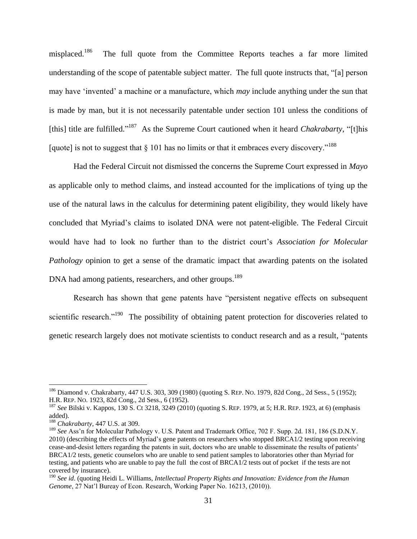<span id="page-31-0"></span>misplaced.<sup>186</sup> The full quote from the Committee Reports teaches a far more limited understanding of the scope of patentable subject matter. The full quote instructs that, "[a] person may have 'invented' a machine or a manufacture, which *may* include anything under the sun that is made by man, but it is not necessarily patentable under section 101 unless the conditions of [this] title are fulfilled."<sup>187</sup> As the Supreme Court cautioned when it heard *Chakrabarty*, "[t]his [quote] is not to suggest that  $\S$  101 has no limits or that it embraces every discovery.<sup>"188</sup>

Had the Federal Circuit not dismissed the concerns the Supreme Court expressed in *Mayo*  as applicable only to method claims, and instead accounted for the implications of tying up the use of the natural laws in the calculus for determining patent eligibility, they would likely have concluded that Myriad's claims to isolated DNA were not patent-eligible. The Federal Circuit would have had to look no further than to the district court's *Association for Molecular Pathology* opinion to get a sense of the dramatic impact that awarding patents on the isolated DNA had among patients, researchers, and other groups.<sup>189</sup>

<span id="page-31-1"></span>Research has shown that gene patents have "persistent negative effects on subsequent scientific research."<sup>190</sup> The possibility of obtaining patent protection for discoveries related to genetic research largely does not motivate scientists to conduct research and as a result, "patents

<sup>186</sup> Diamond v. Chakrabarty, 447 U.S. 303, 309 (1980) (quoting S. REP. NO. 1979, 82d Cong., 2d Sess., 5 (1952); H.R. REP. NO. 1923, 82d Cong., 2d Sess., 6 (1952).

<sup>187</sup> *See* Bilski v. Kappos*,* 130 S. Ct 3218, 3249 (2010) (quoting S. REP. 1979, at 5; H.R. REP. 1923, at 6) (emphasis added).

<sup>188</sup> *Chakrabarty*, 447 U.S. at 309.

<sup>&</sup>lt;sup>189</sup> See Ass'n for Molecular Pathology v. U.S. Patent and Trademark Office, 702 F. Supp. 2d. 181, 186 (S.D.N.Y. 2010) (describing the effects of Myriad's gene patents on researchers who stopped BRCA1/2 testing upon receiving cease-and-desist letters regarding the patents in suit, doctors who are unable to disseminate the results of patients' BRCA1/2 tests, genetic counselors who are unable to send patient samples to laboratories other than Myriad for testing, and patients who are unable to pay the full the cost of BRCA1/2 tests out of pocket if the tests are not covered by insurance).

<sup>190</sup> *See id*. (quoting Heidi L. Williams, *Intellectual Property Rights and Innovation: Evidence from the Human Genome*, 27 Nat'l Bureay of Econ. Research, Working Paper No. 16213, (2010)).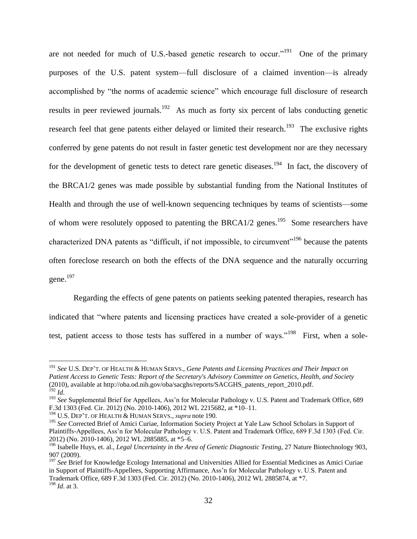are not needed for much of U.S.-based genetic research to occur."<sup>191</sup> One of the primary purposes of the U.S. patent system—full disclosure of a claimed invention—is already accomplished by "the norms of academic science" which encourage full disclosure of research results in peer reviewed journals.<sup>192</sup> As much as forty six percent of labs conducting genetic research feel that gene patents either delayed or limited their research.<sup>193</sup> The exclusive rights conferred by gene patents do not result in faster genetic test development nor are they necessary for the development of genetic tests to detect rare genetic diseases.<sup>194</sup> In fact, the discovery of the BRCA1/2 genes was made possible by substantial funding from the National Institutes of Health and through the use of well-known sequencing techniques by teams of scientists—some of whom were resolutely opposed to patenting the BRCA1/2 genes.<sup>195</sup> Some researchers have characterized DNA patents as "difficult, if not impossible, to circumvent"<sup>196</sup> because the patents often foreclose research on both the effects of the DNA sequence and the naturally occurring gene.<sup>197</sup>

Regarding the effects of gene patents on patients seeking patented therapies, research has indicated that "where patents and licensing practices have created a sole-provider of a genetic test, patient access to those tests has suffered in a number of ways."<sup>198</sup> First, when a sole-

<sup>191</sup> *See* U.S. DEP'T. OF HEALTH & HUMAN SERVS., *Gene Patents and Licensing Practices and Their Impact on Patient Access to Genetic Tests: Report of the Secretary's Advisory Committee on Genetics, Health, and Society* (2010), available at http://oba.od.nih.gov/oba/sacghs/reports/SACGHS\_patents\_report\_2010.pdf. <sup>192</sup> *Id*.

<sup>193</sup> *See* Supplemental Brief for Appellees, Ass'n for Molecular Pathology v. U.S. Patent and Trademark Office, 689 F.3d 1303 (Fed. Cir. 2012) (No. 2010-1406), 2012 WL 2215682, at \*10–11.

<sup>194</sup> U.S. DEP'T. OF HEALTH & HUMAN SERVS., *supra* note 190.

<sup>&</sup>lt;sup>195</sup> See Corrected Brief of Amici Curiae, Information Society Project at Yale Law School Scholars in Support of Plaintiffs-Appellees, Ass'n for Molecular Pathology v. U.S. Patent and Trademark Office, 689 F.3d 1303 (Fed. Cir. 2012) (No. 2010-1406), 2012 WL 2885885, at \*5–6.

<sup>196</sup> Isabelle Huys, et. al., *Legal Uncertainty in the Area of Genetic Diagnostic Testing*, 27 Nature Biotechnology 903, 907 (2009).

<sup>&</sup>lt;sup>197</sup> See Brief for Knowledge Ecology International and Universities Allied for Essential Medicines as Amici Curiae in Support of Plaintiffs-Appellees, Supporting Affirmance, Ass'n for Molecular Pathology v. U.S. Patent and Trademark Office, 689 F.3d 1303 (Fed. Cir. 2012) (No. 2010-1406), 2012 WL 2885874, at \*7. <sup>198</sup> *Id*. at 3.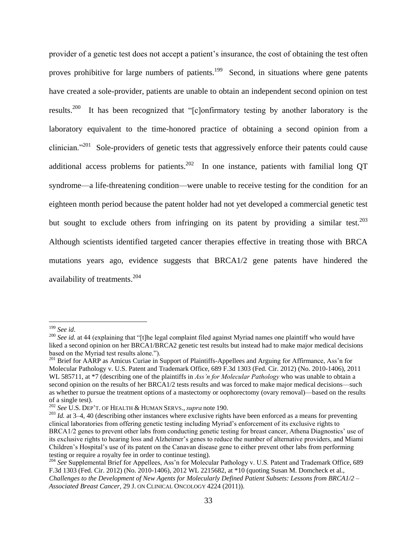provider of a genetic test does not accept a patient's insurance, the cost of obtaining the test often proves prohibitive for large numbers of patients.<sup>199</sup> Second, in situations where gene patents have created a sole-provider, patients are unable to obtain an independent second opinion on test results.<sup>200</sup> It has been recognized that "[c]onfirmatory testing by another laboratory is the laboratory equivalent to the time-honored practice of obtaining a second opinion from a clinician."<sup>201</sup> Sole-providers of genetic tests that aggressively enforce their patents could cause additional access problems for patients.<sup>202</sup> In one instance, patients with familial long QT syndrome—a life-threatening condition—were unable to receive testing for the condition for an eighteen month period because the patent holder had not yet developed a commercial genetic test but sought to exclude others from infringing on its patent by providing a similar test.<sup>203</sup> Although scientists identified targeted cancer therapies effective in treating those with BRCA mutations years ago, evidence suggests that BRCA1/2 gene patents have hindered the availability of treatments.<sup>204</sup>

<sup>199</sup> *See id*.

<sup>&</sup>lt;sup>200</sup> See id. at 44 (explaining that "[t]he legal complaint filed against Myriad names one plaintiff who would have liked a second opinion on her BRCA1/BRCA2 genetic test results but instead had to make major medical decisions based on the Myriad test results alone.").

<sup>&</sup>lt;sup>201</sup> Brief for AARP as Amicus Curiae in Support of Plaintiffs-Appellees and Arguing for Affirmance, Ass'n for Molecular Pathology v. U.S. Patent and Trademark Office, 689 F.3d 1303 (Fed. Cir. 2012) (No. 2010-1406), 2011 WL 585711, at  $*7$  (describing one of the plaintiffs in *Ass'n for Molecular Pathology* who was unable to obtain a second opinion on the results of her BRCA1/2 tests results and was forced to make major medical decisions—such as whether to pursue the treatment options of a mastectomy or oophorectomy (ovary removal)—based on the results of a single test).

<sup>202</sup> *See* U.S. DEP'T. OF HEALTH & HUMAN SERVS., *supra* note 190.

<sup>&</sup>lt;sup>203</sup> *Id.* at 3–4, 40 (describing other instances where exclusive rights have been enforced as a means for preventing clinical laboratories from offering genetic testing including Myriad's enforcement of its exclusive rights to BRCA1/2 genes to prevent other labs from conducting genetic testing for breast cancer, Athena Diagnostics' use of its exclusive rights to hearing loss and Alzheimer's genes to reduce the number of alternative providers, and Miami Children's Hospital's use of its patent on the Canavan disease gene to either prevent other labs from performing testing or require a royalty fee in order to continue testing).

<sup>204</sup> *See* Supplemental Brief for Appellees, Ass'n for Molecular Pathology v. U.S. Patent and Trademark Office, 689 F.3d 1303 (Fed. Cir. 2012) (No. 2010-1406), 2012 WL 2215682, at \*10 (quoting Susan M. Domcheck et al., *Challenges to the Development of New Agents for Molecularly Defined Patient Subsets: Lessons from BRCA1/2 – Associated Breast Cancer*, 29 J. ON CLINICAL ONCOLOGY 4224 (2011)).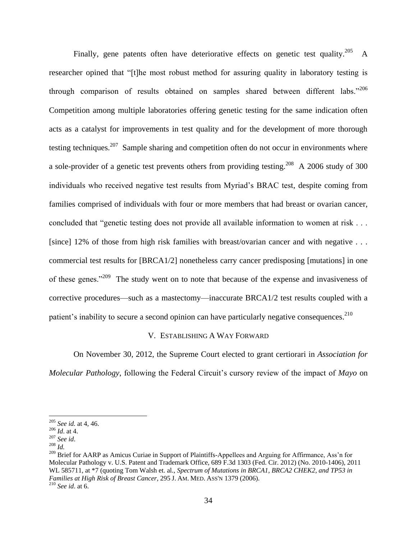Finally, gene patents often have deteriorative effects on genetic test quality.<sup>205</sup> A researcher opined that "[t]he most robust method for assuring quality in laboratory testing is through comparison of results obtained on samples shared between different labs."<sup>206</sup> Competition among multiple laboratories offering genetic testing for the same indication often acts as a catalyst for improvements in test quality and for the development of more thorough testing techniques.<sup>207</sup> Sample sharing and competition often do not occur in environments where a sole-provider of a genetic test prevents others from providing testing.<sup>208</sup> A 2006 study of 300 individuals who received negative test results from Myriad's BRAC test, despite coming from families comprised of individuals with four or more members that had breast or ovarian cancer, concluded that "genetic testing does not provide all available information to women at risk . . . [since] 12% of those from high risk families with breast/ovarian cancer and with negative . . . commercial test results for [BRCA1/2] nonetheless carry cancer predisposing [mutations] in one of these genes."<sup>209</sup> The study went on to note that because of the expense and invasiveness of corrective procedures—such as a mastectomy—inaccurate BRCA1/2 test results coupled with a patient's inability to secure a second opinion can have particularly negative consequences.<sup>210</sup>

#### <span id="page-34-0"></span>V. ESTABLISHING A WAY FORWARD

On November 30, 2012, the Supreme Court elected to grant certiorari in *Association for Molecular Pathology*, following the Federal Circuit's cursory review of the impact of *Mayo* on

<sup>205</sup> *See id.* at 4, 46.

<sup>206</sup> *Id*. at 4.

<sup>207</sup> *See id*.

<sup>208</sup> *Id.*

<sup>&</sup>lt;sup>209</sup> Brief for AARP as Amicus Curiae in Support of Plaintiffs-Appellees and Arguing for Affirmance, Ass'n for Molecular Pathology v. U.S. Patent and Trademark Office, 689 F.3d 1303 (Fed. Cir. 2012) (No. 2010-1406), 2011 WL 585711, at \*7 (quoting Tom Walsh et. al., *Spectrum of Mutations in BRCA1, BRCA2 CHEK2, and TP53 in Families at High Risk of Breast Cancer*, 295 J. AM. MED. ASS'N 1379 (2006). <sup>210</sup> *See id*. at 6.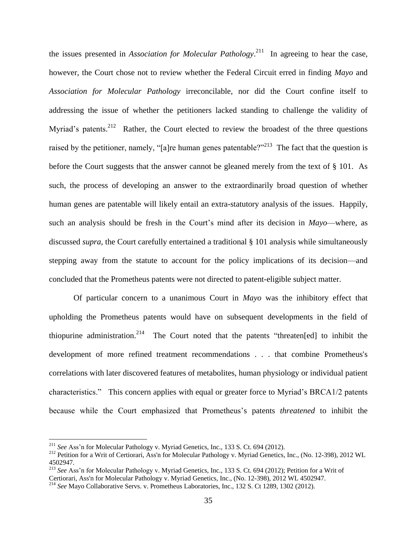the issues presented in *Association for Molecular Pathology*. 211 In agreeing to hear the case, however, the Court chose not to review whether the Federal Circuit erred in finding *Mayo* and *Association for Molecular Pathology* irreconcilable, nor did the Court confine itself to addressing the issue of whether the petitioners lacked standing to challenge the validity of Myriad's patents.<sup>212</sup> Rather, the Court elected to review the broadest of the three questions raised by the petitioner, namely, "[a]re human genes patentable?"<sup>213</sup> The fact that the question is before the Court suggests that the answer cannot be gleaned merely from the text of § 101. As such, the process of developing an answer to the extraordinarily broad question of whether human genes are patentable will likely entail an extra-statutory analysis of the issues. Happily, such an analysis should be fresh in the Court's mind after its decision in *Mayo*—where, as discussed *supra*, the Court carefully entertained a traditional § 101 analysis while simultaneously stepping away from the statute to account for the policy implications of its decision—and concluded that the Prometheus patents were not directed to patent-eligible subject matter.

Of particular concern to a unanimous Court in *Mayo* was the inhibitory effect that upholding the Prometheus patents would have on subsequent developments in the field of thiopurine administration.<sup>214</sup> The Court noted that the patents "threaten[ed] to inhibit the development of more refined treatment recommendations . . . that combine Prometheus's correlations with later discovered features of metabolites, human physiology or individual patient characteristics." This concern applies with equal or greater force to Myriad's BRCA1/2 patents because while the Court emphasized that Prometheus's patents *threatened* to inhibit the

<sup>211</sup> *See* Ass'n for Molecular Pathology v. Myriad Genetics, Inc., 133 S. Ct. 694 (2012).

<sup>&</sup>lt;sup>212</sup> Petition for a Writ of Certiorari, Ass'n for Molecular Pathology v. Myriad Genetics, Inc., (No. 12-398), 2012 WL 4502947.

<sup>213</sup> *See* Ass'n for Molecular Pathology v. Myriad Genetics, Inc., 133 S. Ct. 694 (2012); Petition for a Writ of

Certiorari, Ass'n for Molecular Pathology v. Myriad Genetics, Inc., (No. 12-398), 2012 WL 4502947.

<sup>214</sup> *See* Mayo Collaborative Servs. v. Prometheus Laboratories, Inc., 132 S. Ct 1289, 1302 (2012).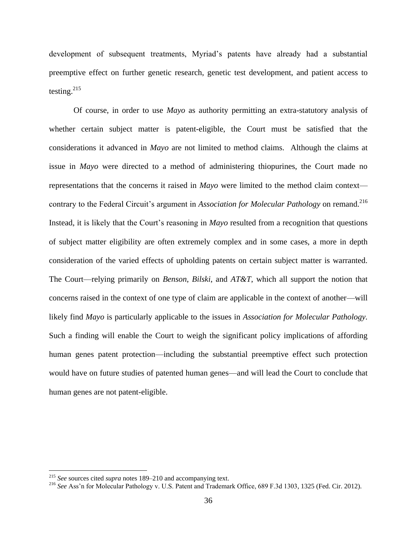development of subsequent treatments, Myriad's patents have already had a substantial preemptive effect on further genetic research, genetic test development, and patient access to testing. 215

Of course, in order to use *Mayo* as authority permitting an extra-statutory analysis of whether certain subject matter is patent-eligible, the Court must be satisfied that the considerations it advanced in *Mayo* are not limited to method claims. Although the claims at issue in *Mayo* were directed to a method of administering thiopurines, the Court made no representations that the concerns it raised in *Mayo* were limited to the method claim context contrary to the Federal Circuit's argument in *Association for Molecular Pathology* on remand.<sup>216</sup> Instead, it is likely that the Court's reasoning in *Mayo* resulted from a recognition that questions of subject matter eligibility are often extremely complex and in some cases, a more in depth consideration of the varied effects of upholding patents on certain subject matter is warranted. The Court—relying primarily on *Benson*, *Bilski*, and *AT&T*, which all support the notion that concerns raised in the context of one type of claim are applicable in the context of another—will likely find *Mayo* is particularly applicable to the issues in *Association for Molecular Pathology.*  Such a finding will enable the Court to weigh the significant policy implications of affording human genes patent protection—including the substantial preemptive effect such protection would have on future studies of patented human genes—and will lead the Court to conclude that human genes are not patent-eligible.

<sup>215</sup> *See* sources cited *supra* notes [189–](#page-31-1)[210](#page-34-0) and accompanying text.

<sup>&</sup>lt;sup>216</sup> See Ass'n for Molecular Pathology v. U.S. Patent and Trademark Office, 689 F.3d 1303, 1325 (Fed. Cir. 2012).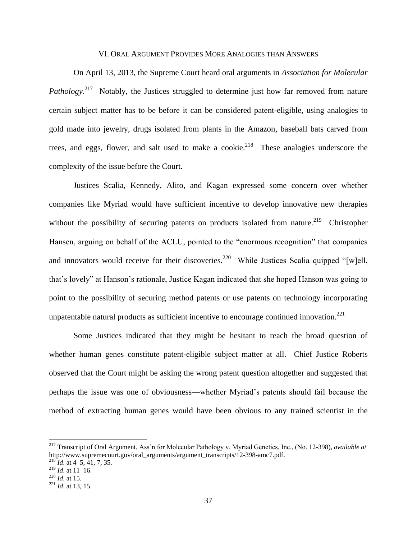## VI. ORAL ARGUMENT PROVIDES MORE ANALOGIES THAN ANSWERS

On April 13, 2013, the Supreme Court heard oral arguments in *Association for Molecular Pathology*.<sup>217</sup> Notably, the Justices struggled to determine just how far removed from nature certain subject matter has to be before it can be considered patent-eligible, using analogies to gold made into jewelry, drugs isolated from plants in the Amazon, baseball bats carved from trees, and eggs, flower, and salt used to make a cookie.<sup>218</sup> These analogies underscore the complexity of the issue before the Court.

Justices Scalia, Kennedy, Alito, and Kagan expressed some concern over whether companies like Myriad would have sufficient incentive to develop innovative new therapies without the possibility of securing patents on products isolated from nature.<sup>219</sup> Christopher Hansen, arguing on behalf of the ACLU, pointed to the "enormous recognition" that companies and innovators would receive for their discoveries.<sup>220</sup> While Justices Scalia quipped "[w]ell, that's lovely" at Hanson's rationale, Justice Kagan indicated that she hoped Hanson was going to point to the possibility of securing method patents or use patents on technology incorporating unpatentable natural products as sufficient incentive to encourage continued innovation.<sup>221</sup>

Some Justices indicated that they might be hesitant to reach the broad question of whether human genes constitute patent-eligible subject matter at all. Chief Justice Roberts observed that the Court might be asking the wrong patent question altogether and suggested that perhaps the issue was one of obviousness—whether Myriad's patents should fail because the method of extracting human genes would have been obvious to any trained scientist in the

<sup>217</sup> Transcript of Oral Argument, Ass'n for Molecular Pathology v. Myriad Genetics, Inc., (No. 12-398), *available at*  http://www.supremecourt.gov/oral\_arguments/argument\_transcripts/12-398-amc7.pdf.

<sup>218</sup> *Id*. at 4–5, 41, 7, 35.  $^{219}$  *Id.* at 11–16.

<sup>220</sup> *Id*. at 15.

<sup>221</sup> *Id*. at 13, 15.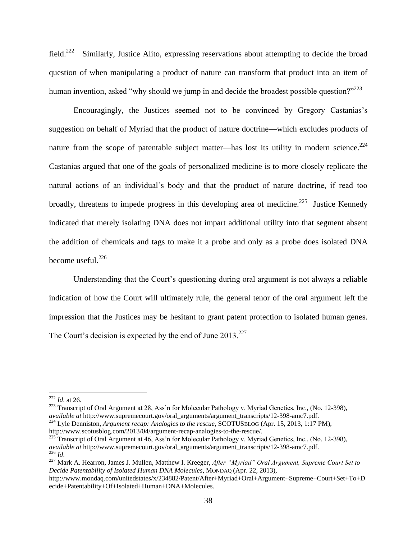field. $^{222}$  Similarly, Justice Alito, expressing reservations about attempting to decide the broad question of when manipulating a product of nature can transform that product into an item of human invention, asked "why should we jump in and decide the broadest possible question?"<sup>223</sup>

Encouragingly, the Justices seemed not to be convinced by Gregory Castanias's suggestion on behalf of Myriad that the product of nature doctrine—which excludes products of nature from the scope of patentable subject matter—has lost its utility in modern science.<sup>224</sup> Castanias argued that one of the goals of personalized medicine is to more closely replicate the natural actions of an individual's body and that the product of nature doctrine, if read too broadly, threatens to impede progress in this developing area of medicine.<sup>225</sup> Justice Kennedy indicated that merely isolating DNA does not impart additional utility into that segment absent the addition of chemicals and tags to make it a probe and only as a probe does isolated DNA become useful. $^{226}$ 

Understanding that the Court's questioning during oral argument is not always a reliable indication of how the Court will ultimately rule, the general tenor of the oral argument left the impression that the Justices may be hesitant to grant patent protection to isolated human genes. The Court's decision is expected by the end of June  $2013$ <sup>227</sup>

 $\overline{a}$ 

<sup>223</sup> Transcript of Oral Argument at 28, Ass'n for Molecular Pathology v. Myriad Genetics, Inc., (No. 12-398), *available at* http://www.supremecourt.gov/oral\_arguments/argument\_transcripts/12-398-amc7.pdf. <sup>224</sup> Lyle Denniston, *Argument recap: Analogies to the rescue*, SCOTUSBLOG (Apr. 15, 2013, 1:17 PM),

<sup>222</sup> *Id*. at 26.

http://www.scotusblog.com/2013/04/argument-recap-analogies-to-the-rescue/.

<sup>&</sup>lt;sup>225</sup> Transcript of Oral Argument at 46, Ass'n for Molecular Pathology v. Myriad Genetics, Inc., (No. 12-398), *available at* http://www.supremecourt.gov/oral\_arguments/argument\_transcripts/12-398-amc7.pdf. <sup>226</sup> *Id*.

<sup>227</sup> Mark A. Hearron, James J. Mullen, Matthew I. Kreeger, *After "Myriad" Oral Argument, Supreme Court Set to Decide Patentability of Isolated Human DNA Molecules*, MONDAQ (Apr. 22, 2013),

http://www.mondaq.com/unitedstates/x/234882/Patent/After+Myriad+Oral+Argument+Supreme+Court+Set+To+D ecide+Patentability+Of+Isolated+Human+DNA+Molecules.